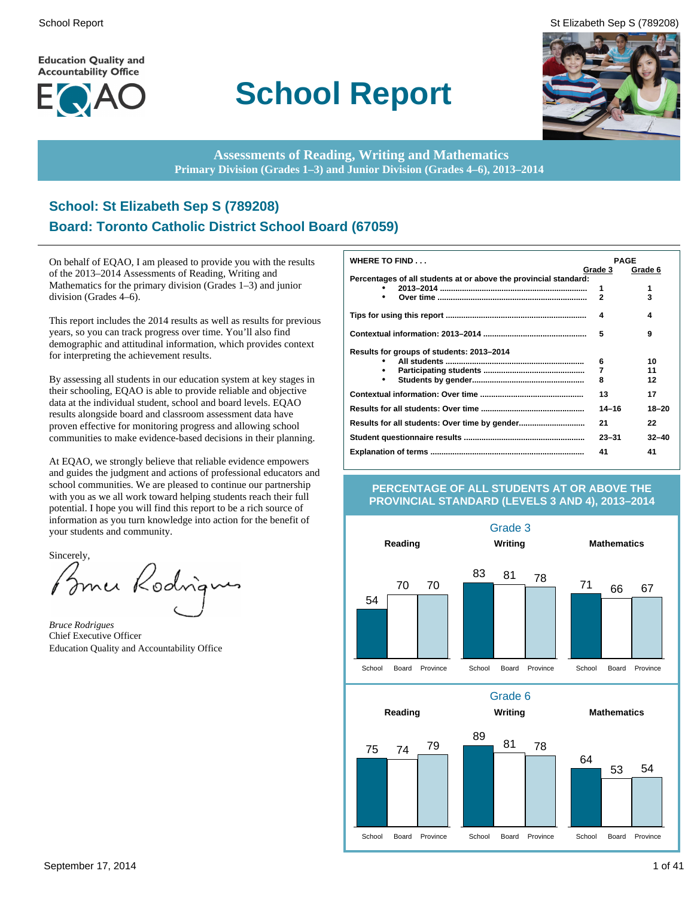**Education Quality and Accountability Office** 



# **School Report**





**Assessments of Reading, Writing and Mathematics Primary Division (Grades 1–3) and Junior Division (Grades 4–6), 2013–2014**

# **School: St Elizabeth Sep S (789208) Board: Toronto Catholic District School Board (67059)**

On behalf of EQAO, I am pleased to provide you with the results of the 2013–2014 Assessments of Reading, Writing and Mathematics for the primary division (Grades 1–3) and junior division (Grades 4–6).

This report includes the 2014 results as well as results for previous years, so you can track progress over time. You'll also find demographic and attitudinal information, which provides context for interpreting the achievement results.

By assessing all students in our education system at key stages in their schooling, EQAO is able to provide reliable and objective data at the individual student, school and board levels. EQAO results alongside board and classroom assessment data have proven effective for monitoring progress and allowing school communities to make evidence-based decisions in their planning.

At EQAO, we strongly believe that reliable evidence empowers and guides the judgment and actions of professional educators and school communities. We are pleased to continue our partnership with you as we all work toward helping students reach their full potential. I hope you will find this report to be a rich source of information as you turn knowledge into action for the benefit of your students and community.

Sincerely,

Bomer Rodrigu

*Bruce Rodrigues* Chief Executive Officer Education Quality and Accountability Office

| WHERE TO FIND                                                    | <b>PAGE</b>  |           |
|------------------------------------------------------------------|--------------|-----------|
|                                                                  | Grade 3      | Grade 6   |
| Percentages of all students at or above the provincial standard: |              |           |
|                                                                  | 1            | 1         |
| $\bullet$                                                        | $\mathbf{2}$ | 3         |
|                                                                  | 4            | 4         |
|                                                                  | 5            | 9         |
| Results for groups of students: 2013-2014                        |              |           |
|                                                                  | 6            | 10        |
|                                                                  | 7            | 11        |
| $\bullet$                                                        | 8            | 12        |
|                                                                  | 13           | 17        |
|                                                                  | $14 - 16$    | $18 - 20$ |
|                                                                  | 21           | 22        |
|                                                                  | $23 - 31$    | $32 - 40$ |
|                                                                  | 41           | 41        |

#### **PERCENTAGE OF ALL STUDENTS AT OR ABOVE THE PROVINCIAL STANDARD (LEVELS 3 AND 4), 2013–2014**

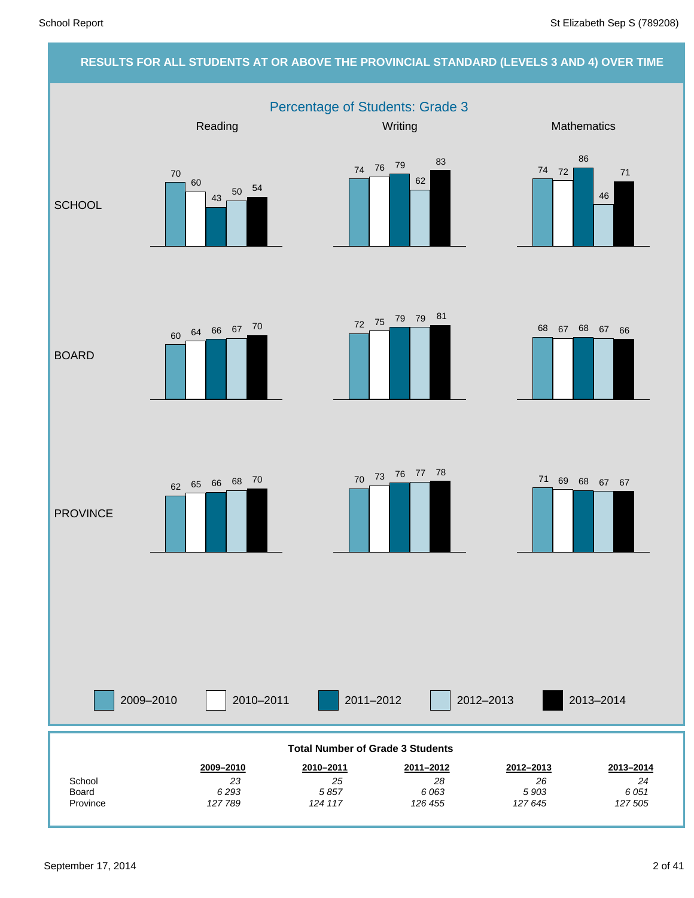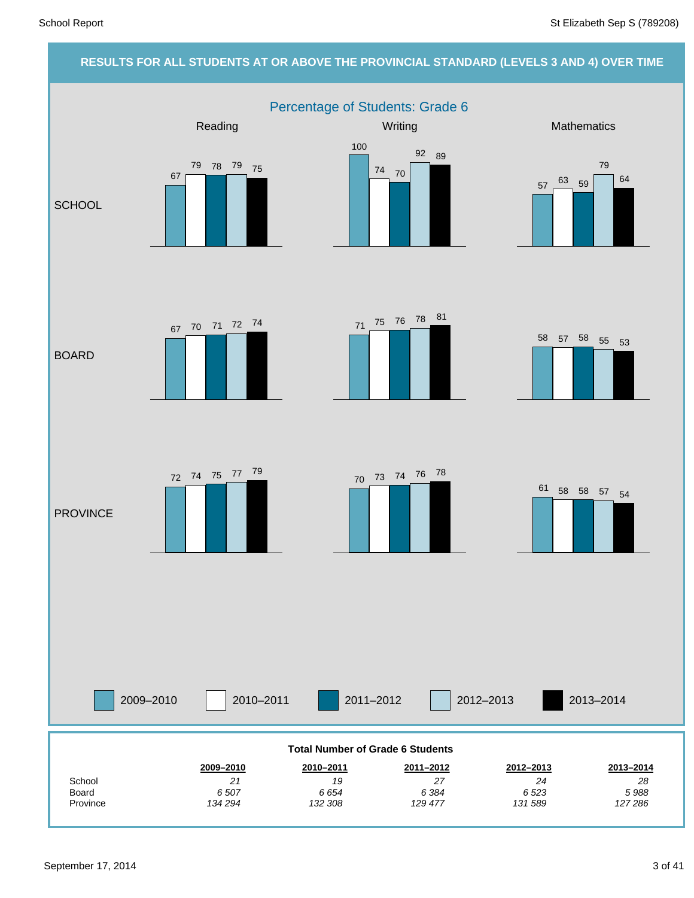#### **RESULTS FOR ALL STUDENTS AT OR ABOVE THE PROVINCIAL STANDARD (LEVELS 3 AND 4) OVER TIME**

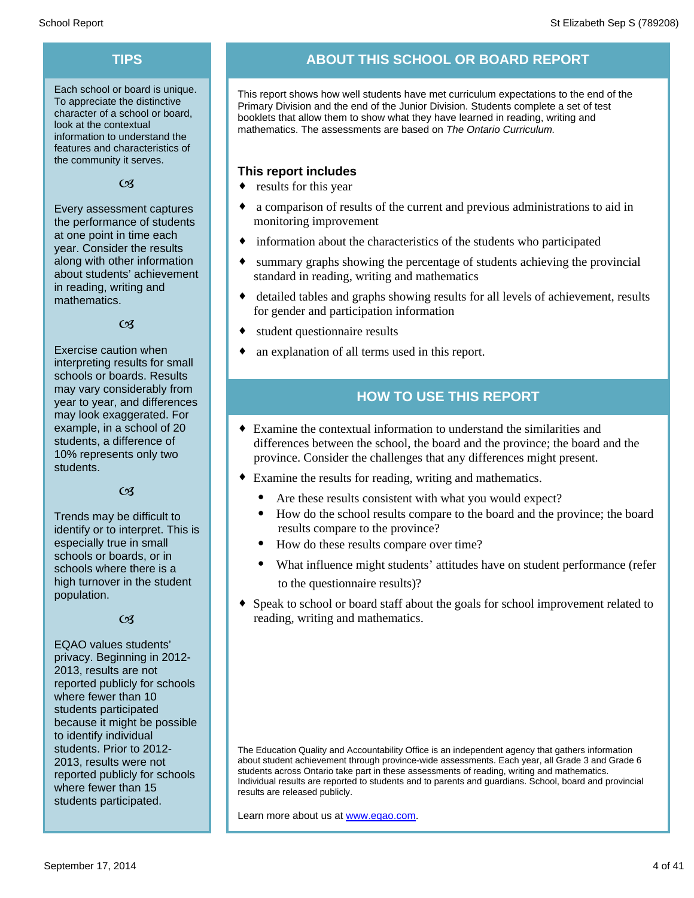Each school or board is unique. To appreciate the distinctive character of a school or board, look at the contextual information to understand the features and characteristics of the community it serves.

 $C<sub>3</sub>$ 

Every assessment captures the performance of students at one point in time each year. Consider the results along with other information about students' achievement in reading, writing and mathematics.

 $C<sub>3</sub>$ 

Exercise caution when interpreting results for small schools or boards. Results may vary considerably from year to year, and differences may look exaggerated. For example, in a school of 20 students, a difference of 10% represents only two students.

#### $C<sub>1</sub>$

Trends may be difficult to identify or to interpret. This is especially true in small schools or boards, or in schools where there is a high turnover in the student population.

#### $C<sub>3</sub>$

EQAO values students' privacy. Beginning in 2012- 2013, results are not reported publicly for schools where fewer than 10 students participated because it might be possible to identify individual students. Prior to 2012- 2013, results were not reported publicly for schools where fewer than 15 students participated.

# **TIPS ABOUT THIS SCHOOL OR BOARD REPORT**

This report shows how well students have met curriculum expectations to the end of the Primary Division and the end of the Junior Division. Students complete a set of test booklets that allow them to show what they have learned in reading, writing and mathematics. The assessments are based on *The Ontario Curriculum.*

#### **This report includes**

- $\bullet$  results for this year
- $\bullet$  a comparison of results of the current and previous administrations to aid in monitoring improvement
- $\bullet$  information about the characteristics of the students who participated
- summary graphs showing the percentage of students achieving the provincial standard in reading, writing and mathematics
- detailed tables and graphs showing results for all levels of achievement, results for gender and participation information
- student questionnaire results
- an explanation of all terms used in this report.

# **HOW TO USE THIS REPORT**

- $\bullet$  Examine the contextual information to understand the similarities and differences between the school, the board and the province; the board and the province. Consider the challenges that any differences might present.
- ¨ Examine the results for reading, writing and mathematics.
	- Are these results consistent with what you would expect?
	- · How do the school results compare to the board and the province; the board results compare to the province?
	- How do these results compare over time?
	- What influence might students' attitudes have on student performance (refer to the questionnaire results)?
- Speak to school or board staff about the goals for school improvement related to reading, writing and mathematics.

The Education Quality and Accountability Office is an independent agency that gathers information about student achievement through province-wide assessments. Each year, all Grade 3 and Grade 6 students across Ontario take part in these assessments of reading, writing and mathematics. Individual results are reported to students and to parents and guardians. School, board and provincial results are released publicly.

Learn more about us at www.eqao.com.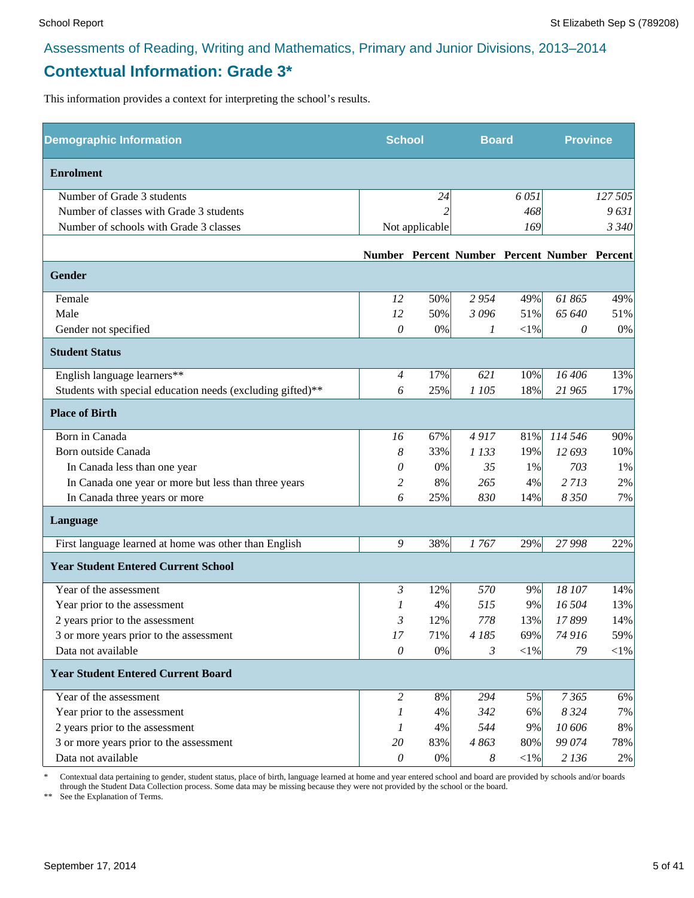# **Contextual Information: Grade 3\***

This information provides a context for interpreting the school's results.

| <b>Demographic Information</b>                             | <b>School</b>         |                | <b>Board</b> |            | <b>Province</b>                              |         |
|------------------------------------------------------------|-----------------------|----------------|--------------|------------|----------------------------------------------|---------|
| <b>Enrolment</b>                                           |                       |                |              |            |                                              |         |
| Number of Grade 3 students                                 |                       | 24             |              | 6051       |                                              | 127 505 |
| Number of classes with Grade 3 students                    |                       |                |              | 468        |                                              | 9631    |
| Number of schools with Grade 3 classes                     |                       | Not applicable |              | 169        |                                              | 3 3 4 0 |
|                                                            |                       |                |              |            | Number Percent Number Percent Number Percent |         |
| Gender                                                     |                       |                |              |            |                                              |         |
| Female                                                     | 12                    | 50%            | 2954         | 49%        | 61865                                        | 49%     |
| Male                                                       | 12                    | 50%            | 3096         | 51%        | 65 640                                       | 51%     |
| Gender not specified                                       | $\theta$              | 0%             | 1            | $<\!\!1\%$ | 0                                            | 0%      |
| <b>Student Status</b>                                      |                       |                |              |            |                                              |         |
| English language learners**                                | $\overline{4}$        | 17%            | 621          | 10%        | 16 40 6                                      | 13%     |
| Students with special education needs (excluding gifted)** | 6                     | 25%            | 1 105        | 18%        | 21 965                                       | 17%     |
| <b>Place of Birth</b>                                      |                       |                |              |            |                                              |         |
| Born in Canada                                             | 16                    | 67%            | 4917         | 81%        | 114 546                                      | 90%     |
| Born outside Canada                                        | 8                     | 33%            | 1 1 3 3      | 19%        | 12 693                                       | 10%     |
| In Canada less than one year                               | 0                     | 0%             | 35           | 1%         | 703                                          | 1%      |
| In Canada one year or more but less than three years       | 2                     | 8%             | 265          | 4%         | 2713                                         | 2%      |
| In Canada three years or more                              | 6                     | 25%            | 830          | 14%        | 8 3 5 0                                      | 7%      |
| Language                                                   |                       |                |              |            |                                              |         |
| First language learned at home was other than English      | 9                     | 38%            | 1767         | 29%        | 27 998                                       | 22%     |
| <b>Year Student Entered Current School</b>                 |                       |                |              |            |                                              |         |
| Year of the assessment                                     | 3                     | 12%            | 570          | 9%         | 18 107                                       | 14%     |
| Year prior to the assessment                               | 1                     | 4%             | 515          | 9%         | 16 504                                       | 13%     |
| 2 years prior to the assessment                            | 3                     | 12%            | 778          | 13%        | 17899                                        | 14%     |
| 3 or more years prior to the assessment                    | $17\,$                | 71%            | 4 185        | 69%        | 74 916                                       | 59%     |
| Data not available                                         | $\theta$              | 0%             | 3            | $<$ 1%     | 79                                           | $<$ 1%  |
| <b>Year Student Entered Current Board</b>                  |                       |                |              |            |                                              |         |
| Year of the assessment                                     | $\overline{2}$        | 8%             | 294          | 5%         | 7365                                         | 6%      |
| Year prior to the assessment                               | 1                     | 4%             | 342          | 6%         | 8 3 2 4                                      | 7%      |
| 2 years prior to the assessment                            | 1                     | 4%             | 544          | 9%         | 10 606                                       | 8%      |
| 3 or more years prior to the assessment                    | 20                    | 83%            | 4863         | 80%        | 99 074                                       | 78%     |
| Data not available                                         | $\boldsymbol{\theta}$ | 0%             | 8            | ${<}1\%$   | 2 1 3 6                                      | 2%      |

\* Contextual data pertaining to gender, student status, place of birth, language learned at home and year entered school and board are provided by schools and/or boards through the Student Data Collection process. Some data may be missing because they were not provided by the school or the board.

\*\* See the Explanation of Terms.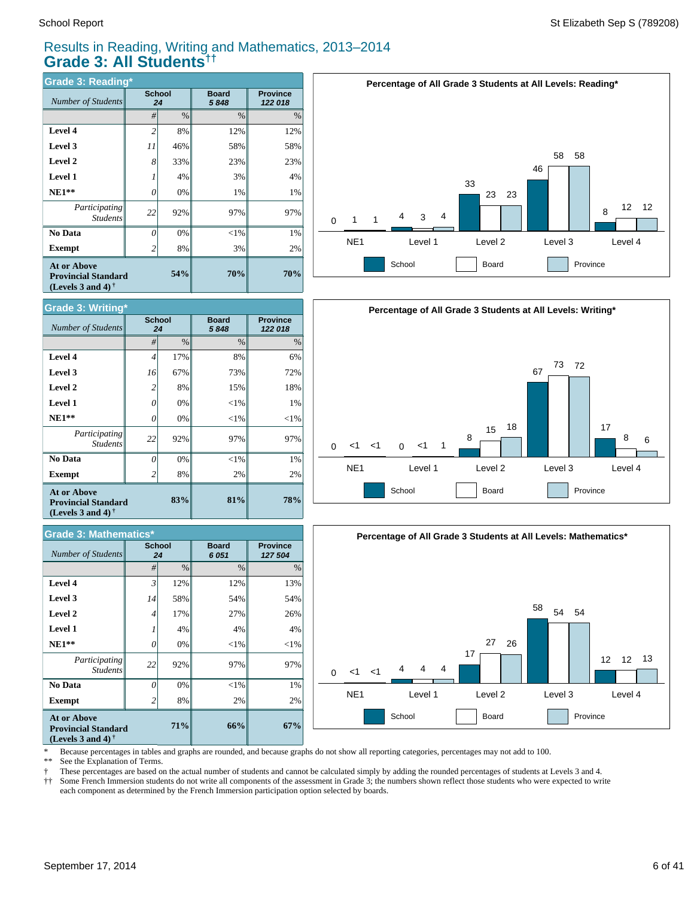# Results in Reading, Writing and Mathematics, 2013–2014 **Grade 3: All Students††**

| <b>Grade 3: Reading*</b>                                                          |                |              |                      |                            |  |  |  |  |  |
|-----------------------------------------------------------------------------------|----------------|--------------|----------------------|----------------------------|--|--|--|--|--|
| Number of Students                                                                |                | School<br>24 | <b>Board</b><br>5848 | <b>Province</b><br>122 018 |  |  |  |  |  |
|                                                                                   | #              | $\%$         | $\frac{0}{0}$        | $\%$                       |  |  |  |  |  |
| Level 4                                                                           | $\overline{2}$ | 8%           | 12%                  | 12%                        |  |  |  |  |  |
| Level 3                                                                           | 11             | 46%          | 58%                  | 58%                        |  |  |  |  |  |
| Level 2                                                                           | 8              | 33%          | 23%                  | 23%                        |  |  |  |  |  |
| <b>Level 1</b>                                                                    | 1              | 4%           | 3%                   | 4%                         |  |  |  |  |  |
| $NE1**$                                                                           | 0              | 0%           | 1%                   | 1%                         |  |  |  |  |  |
| Participating<br><b>Students</b>                                                  | 22             | 92%          | 97%                  | 97%                        |  |  |  |  |  |
| No Data                                                                           | 0              | 0%           | $<$ 1%               | 1%                         |  |  |  |  |  |
| Exempt                                                                            | $\overline{c}$ | 8%           | 3%                   | 2%                         |  |  |  |  |  |
| <b>At or Above</b><br><b>Provincial Standard</b><br>(Levels 3 and 4) $^{\dagger}$ |                | 54%          | 70%                  | 70%                        |  |  |  |  |  |



| <b>Grade 3: Mathematics*</b>                                                   |    |                     |                      |                            |  |  |  |  |  |
|--------------------------------------------------------------------------------|----|---------------------|----------------------|----------------------------|--|--|--|--|--|
| <b>Number of Students</b>                                                      |    | <b>School</b><br>24 | <b>Board</b><br>6051 | <b>Province</b><br>127 504 |  |  |  |  |  |
|                                                                                | #  | $\%$                | $\frac{0}{0}$        | $\%$                       |  |  |  |  |  |
| Level 4                                                                        | 3  | 12%                 | 12%                  | 13%                        |  |  |  |  |  |
| Level 3                                                                        | 14 | 58%                 | 54%                  | 54%                        |  |  |  |  |  |
| Level 2                                                                        | 4  | 17%                 | 27%                  | 26%                        |  |  |  |  |  |
| <b>Level 1</b>                                                                 |    | 4%                  | 4%                   | 4%                         |  |  |  |  |  |
| $NE1**$                                                                        | 0  | 0%                  | $<$ 1%               | $<$ 1%                     |  |  |  |  |  |
| Participating<br><b>Students</b>                                               | 22 | 92%                 | 97%                  | 97%                        |  |  |  |  |  |
| No Data                                                                        | Ω  | 0%                  | $<$ 1%               | 1%                         |  |  |  |  |  |
| Exempt                                                                         | 2  | 8%                  | 2%                   | 2%                         |  |  |  |  |  |
| <b>At or Above</b><br><b>Provincial Standard</b><br>(Levels 3 and 4) $\dagger$ |    | 71%                 | 66%                  | 67%                        |  |  |  |  |  |







Because percentages in tables and graphs are rounded, and because graphs do not show all reporting categories, percentages may not add to 100.

\* ž \*\* See the Explanation of Terms.

Í These percentages are based on the actual number of students and cannot be calculated simply by adding the rounded percentages of students at Levels 3 and 4.

† †† Some French Immersion students do not write all components of the assessment in Grade 3; the numbers shown reflect those students who were expected to write each component as determined by the French Immersion participation option selected by boards.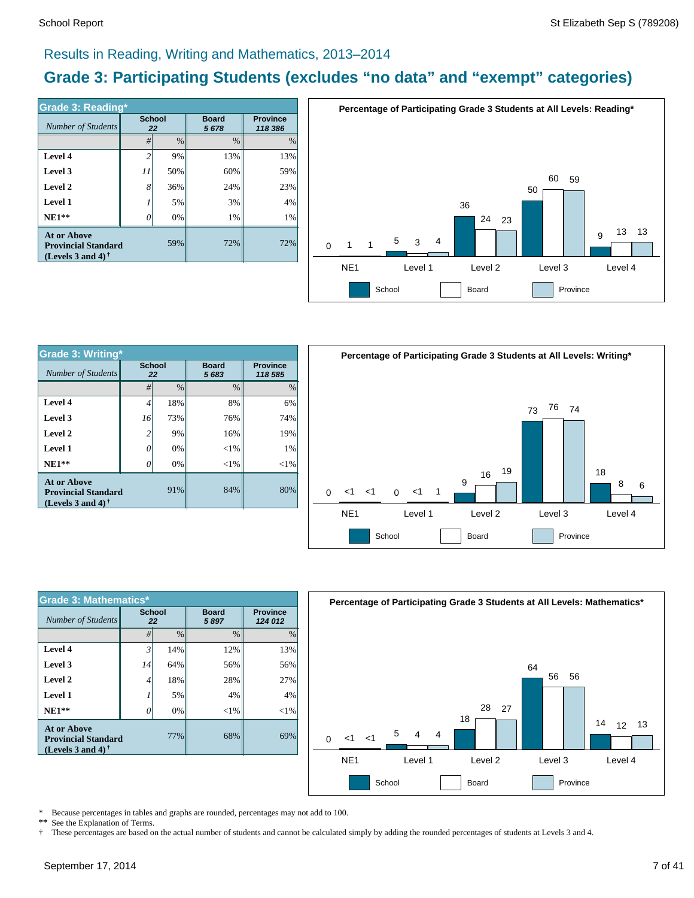# Results in Reading, Writing and Mathematics, 2013–2014

# **Grade 3: Participating Students (excludes "no data" and "exempt" categories)**

| <b>Grade 3: Reading*</b>                                                       |                |                     |                      |                            |  |  |  |  |  |
|--------------------------------------------------------------------------------|----------------|---------------------|----------------------|----------------------------|--|--|--|--|--|
| Number of Students                                                             |                | <b>School</b><br>22 | <b>Board</b><br>5678 | <b>Province</b><br>118 386 |  |  |  |  |  |
|                                                                                | #              | $\frac{0}{0}$       | $\frac{0}{0}$        | $\%$                       |  |  |  |  |  |
| Level 4                                                                        | $\overline{c}$ | 9%                  | 13%                  | 13%                        |  |  |  |  |  |
| Level 3                                                                        | 11             | 50%                 | 60%                  | 59%                        |  |  |  |  |  |
| Level 2                                                                        | 8              | 36%                 | 24%                  | 23%                        |  |  |  |  |  |
| <b>Level 1</b>                                                                 |                | 5%                  | 3%                   | 4%                         |  |  |  |  |  |
| $NE1**$                                                                        | 0              | 0%                  | 1%                   | 1%                         |  |  |  |  |  |
| <b>At or Above</b><br><b>Provincial Standard</b><br>(Levels 3 and 4) $\dagger$ |                | 72%                 | 72%                  |                            |  |  |  |  |  |



| <b>Grade 3: Writing*</b>                                                |                     |       | Percentag            |               |                            |                 |    |  |
|-------------------------------------------------------------------------|---------------------|-------|----------------------|---------------|----------------------------|-----------------|----|--|
| Number of Students                                                      | <b>School</b><br>22 |       | <b>Board</b><br>5683 |               | <b>Province</b><br>118 585 |                 |    |  |
|                                                                         | #                   | $\%$  | $\frac{0}{0}$        | $\frac{0}{0}$ |                            |                 |    |  |
| Level 4                                                                 | 4                   | 18%   | 8%                   | 6%            |                            |                 |    |  |
| Level 3                                                                 | 16                  | 73%   | 76%                  | 74%           |                            |                 |    |  |
| Level 2                                                                 | 2                   | 9%    | 16%                  | 19%           |                            |                 |    |  |
| Level 1                                                                 | 0                   | 0%    | $< 1\%$              | 1%            |                            |                 |    |  |
| $NE1**$                                                                 | 0                   | $0\%$ | ${<}1\%$             | ${<}1\%$      |                            |                 |    |  |
| At or Above<br><b>Provincial Standard</b><br>(Levels 3 and 4) $\dagger$ |                     | 91%   | 84%                  | 80%           | $\Omega$                   | 1>              | 1> |  |
|                                                                         |                     |       |                      |               |                            | NE <sub>1</sub> |    |  |



| <b>Grade 3: Mathematics*</b>                                                                         |                     |               |                      |                            |  |  |  |  |  |
|------------------------------------------------------------------------------------------------------|---------------------|---------------|----------------------|----------------------------|--|--|--|--|--|
| Number of Students                                                                                   | <b>School</b><br>22 |               | <b>Board</b><br>5897 | <b>Province</b><br>124 012 |  |  |  |  |  |
|                                                                                                      | #                   | $\frac{0}{0}$ | $\frac{0}{0}$        | $\%$                       |  |  |  |  |  |
| Level 4                                                                                              | $\mathfrak{Z}$      | 14%           | 12%                  | 13%                        |  |  |  |  |  |
| Level 3                                                                                              | 14                  | 64%           | 56%                  | 56%                        |  |  |  |  |  |
| Level 2                                                                                              | 4                   | 18%           | 28%                  | 27%                        |  |  |  |  |  |
| <b>Level 1</b>                                                                                       |                     | 5%            | 4%                   | 4%                         |  |  |  |  |  |
| $NE1**$                                                                                              | 0                   | 0%            | $<$ 1%               | $< 1\%$                    |  |  |  |  |  |
| <b>At or Above</b><br><b>Provincial Standard</b><br>(Levels 3 and 4) <sup><math>\dagger</math></sup> |                     | 68%           | 69%                  |                            |  |  |  |  |  |



\* Because percentages in tables and graphs are rounded, percentages may not add to 100.

**\*\*** See the Explanation of Terms.

† These percentages are based on the actual number of students and cannot be calculated simply by adding the rounded percentages of students at Levels 3 and 4.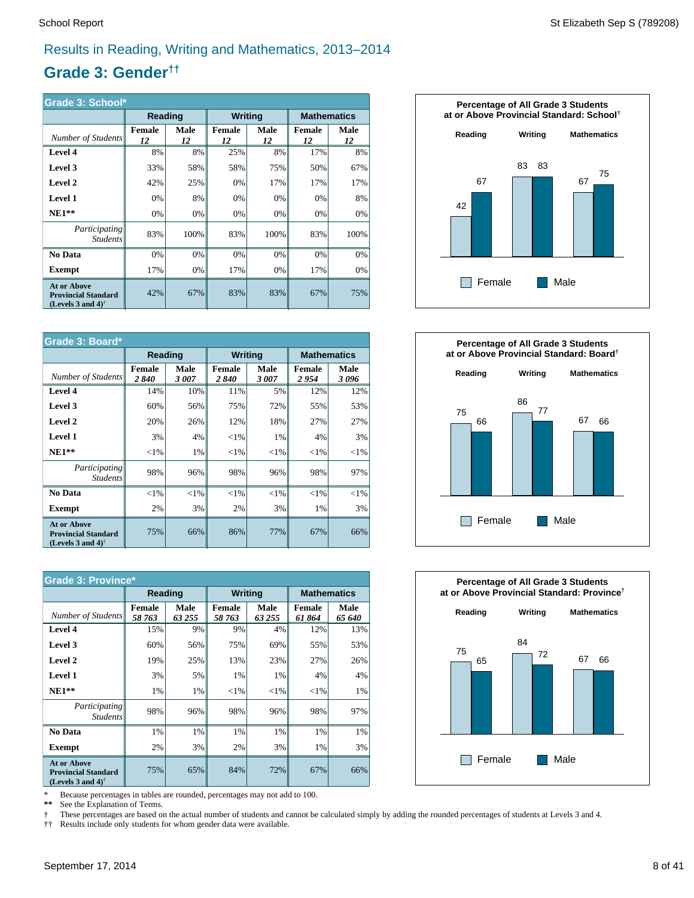# Results in Reading, Writing and Mathematics, 2013–2014

# **Grade 3: Gender††**

| Grade 3: School*                                                                  |                     |            |                     |            |                     |            |  |  |
|-----------------------------------------------------------------------------------|---------------------|------------|---------------------|------------|---------------------|------------|--|--|
|                                                                                   | Reading             |            | <b>Writing</b>      |            | <b>Mathematics</b>  |            |  |  |
| Number of Students                                                                | <b>Female</b><br>12 | Male<br>12 | <b>Female</b><br>12 | Male<br>12 | <b>Female</b><br>12 | Male<br>12 |  |  |
| Level 4                                                                           | 8%                  | 8%         | 25%                 | 8%         | 17%                 | 8%         |  |  |
| Level 3                                                                           | 33%                 | 58%        | 58%                 | 75%        | 50%                 | 67%        |  |  |
| Level 2                                                                           | 42%                 | 25%        | 0%                  | 17%        | 17%                 | 17%        |  |  |
| <b>Level 1</b>                                                                    | 0%                  | 8%         | 0%                  | 0%         | 0%                  | 8%         |  |  |
| $NE1**$                                                                           | 0%                  | 0%         | 0%                  | 0%         | 0%                  | 0%         |  |  |
| Participating<br><b>Students</b>                                                  | 83%                 | 100%       | 83%                 | 100%       | 83%                 | 100%       |  |  |
| <b>No Data</b>                                                                    | 0%                  | 0%         | 0%                  | 0%         | 0%                  | 0%         |  |  |
| <b>Exempt</b>                                                                     | 17%                 | 0%         | 17%                 | 0%         | 17%                 | 0%         |  |  |
| <b>At or Above</b><br><b>Provincial Standard</b><br>(Levels 3 and 4) <sup>†</sup> | 42%                 | 67%        | 83%                 | 83%        | 67%                 | 75%        |  |  |

| Grade 3: Board*                                                                |                       |              |                       |              |                    |              |  |  |  |
|--------------------------------------------------------------------------------|-----------------------|--------------|-----------------------|--------------|--------------------|--------------|--|--|--|
|                                                                                | Reading               |              | <b>Writing</b>        |              | <b>Mathematics</b> |              |  |  |  |
| Number of Students                                                             | <b>Female</b><br>2840 | Male<br>3007 | <b>Female</b><br>2840 | Male<br>3007 | Female<br>2954     | Male<br>3096 |  |  |  |
| Level 4                                                                        | 14%                   | 10%          | 11%                   | 5%           | 12%                | 12%          |  |  |  |
| Level 3                                                                        | 60%                   | 56%          | 75%                   | 72%          | 55%                | 53%          |  |  |  |
| Level 2                                                                        | 20%                   | 26%          | 12%                   | 18%          | 27%                | 27%          |  |  |  |
| <b>Level 1</b>                                                                 | 3%                    | 4%           | ${<}1\%$              | 1%           | 4%                 | 3%           |  |  |  |
| $NE1**$                                                                        | ${<}1\%$              | 1%           | ${<}1\%$              | ${<}1\%$     | ${<}1\%$           | ${<}1\%$     |  |  |  |
| Participating<br><b>Students</b>                                               | 98%                   | 96%          | 98%                   | 96%          | 98%                | 97%          |  |  |  |
| <b>No Data</b>                                                                 | ${<}1\%$              | ${<}1\%$     | ${<}1\%$              | ${<}1\%$     | ${<}1\%$           | ${<}1\%$     |  |  |  |
| Exempt                                                                         | 2%                    | 3%           | 2%                    | 3%           | 1%                 | 3%           |  |  |  |
| <b>At or Above</b><br><b>Provincial Standard</b><br>(Levels 3 and 4) $\dagger$ | 75%                   | 66%          | 86%                   | 77%          | 67%                | 66%          |  |  |  |

| <b>Grade 3: Province*</b>                                                                            |                         |                |                  |                |                        |                    |  |  |  |
|------------------------------------------------------------------------------------------------------|-------------------------|----------------|------------------|----------------|------------------------|--------------------|--|--|--|
|                                                                                                      | Reading                 |                | <b>Writing</b>   |                |                        | <b>Mathematics</b> |  |  |  |
| Number of Students                                                                                   | <b>Female</b><br>58 763 | Male<br>63 255 | Female<br>58 763 | Male<br>63 255 | <b>Female</b><br>61864 | Male<br>65 640     |  |  |  |
| Level 4                                                                                              | 15%                     | 9%             | 9%               | 4%             | 12%                    | 13%                |  |  |  |
| Level 3                                                                                              | 60%                     | 56%            | 75%              | 69%            | 55%                    | 53%                |  |  |  |
| Level 2                                                                                              | 19%                     | 25%            | 13%              | 23%            | 27%                    | 26%                |  |  |  |
| <b>Level 1</b>                                                                                       | 3%                      | 5%             | 1%               | 1%             | 4%                     | 4%                 |  |  |  |
| $NE1**$                                                                                              | 1%                      | 1%             | ${<}1\%$         | ${<}1\%$       | ${<}1\%$               | 1%                 |  |  |  |
| <i>Participating</i><br><i>Students</i>                                                              | 98%                     | 96%            | 98%              | 96%            | 98%                    | 97%                |  |  |  |
| No Data                                                                                              | 1%                      | 1%             | 1%               | 1%             | 1%                     | 1%                 |  |  |  |
| <b>Exempt</b>                                                                                        | 2%                      | 3%             | 2%               | 3%             | 1%                     | 3%                 |  |  |  |
| <b>At or Above</b><br><b>Provincial Standard</b><br>(Levels 3 and 4) <sup><math>\dagger</math></sup> | 75%                     | 65%            | 84%              | 72%            | 67%                    | 66%                |  |  |  |

\* Because percentages in tables are rounded, percentages may not add to 100.

 **\*\*** See the Explanation of Terms.

 † †† These percentages are based on the actual number of students and cannot be calculated simply by adding the rounded percentages of students at Levels 3 and 4.

Results include only students for whom gender data were available.





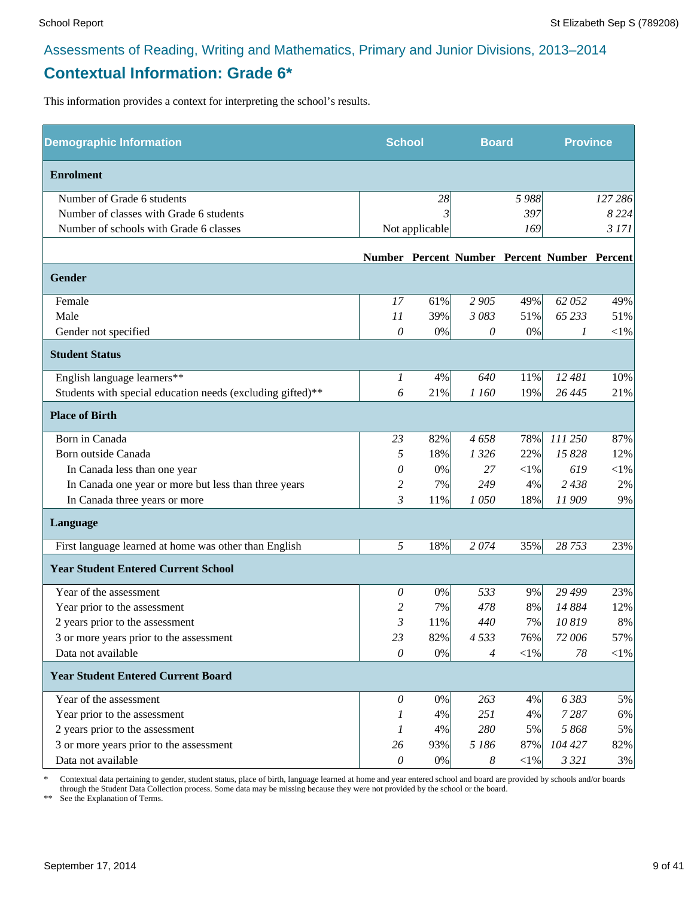# **Contextual Information: Grade 6\***

This information provides a context for interpreting the school's results.

| <b>Demographic Information</b>                             | <b>School</b>         |                | <b>Board</b>          |            | <b>Province</b>                              |            |
|------------------------------------------------------------|-----------------------|----------------|-----------------------|------------|----------------------------------------------|------------|
| <b>Enrolment</b>                                           |                       |                |                       |            |                                              |            |
| Number of Grade 6 students                                 |                       | 28             |                       | 5988       |                                              | 127 286    |
| Number of classes with Grade 6 students                    |                       |                |                       | 397        |                                              | 8 2 2 4    |
| Number of schools with Grade 6 classes                     |                       | Not applicable |                       | 169        |                                              | 3 171      |
|                                                            |                       |                |                       |            | Number Percent Number Percent Number Percent |            |
| <b>Gender</b>                                              |                       |                |                       |            |                                              |            |
| Female                                                     | 17                    | 61%            | 2 9 0 5               | 49%        | 62 052                                       | 49%        |
| Male                                                       | 11                    | 39%            | 3 083                 | 51%        | 65 233                                       | 51%        |
| Gender not specified                                       | 0                     | $0\%$          | $\theta$              | 0%         | 1                                            | $<\!\!1\%$ |
| <b>Student Status</b>                                      |                       |                |                       |            |                                              |            |
| English language learners**                                | 1                     | 4%             | 640                   | 11%        | 12 481                                       | 10%        |
| Students with special education needs (excluding gifted)** | 6                     | 21%            | 1 160                 | 19%        | 26 4 45                                      | 21%        |
| <b>Place of Birth</b>                                      |                       |                |                       |            |                                              |            |
| Born in Canada                                             | 23                    | 82%            | 4658                  | 78%        | 111 250                                      | 87%        |
| Born outside Canada                                        | 5                     | 18%            | 1 3 2 6               | 22%        | 15 828                                       | 12%        |
| In Canada less than one year                               | 0                     | 0%             | 27                    | $<$ 1%     | 619                                          | $<\!\!1\%$ |
| In Canada one year or more but less than three years       | 2                     | 7%             | 249                   | 4%         | 2 4 3 8                                      | $2\%$      |
| In Canada three years or more                              | $\mathfrak{Z}$        | 11%            | 1050                  | 18%        | 11909                                        | 9%         |
| Language                                                   |                       |                |                       |            |                                              |            |
| First language learned at home was other than English      | 5                     | 18%            | 2074                  | 35%        | 28 753                                       | 23%        |
| <b>Year Student Entered Current School</b>                 |                       |                |                       |            |                                              |            |
| Year of the assessment                                     | 0                     | 0%             | 533                   | 9%         | 29 4 99                                      | 23%        |
| Year prior to the assessment                               | 2                     | 7%             | 478                   | 8%         | 14 884                                       | 12%        |
| 2 years prior to the assessment                            | 3                     | 11%            | 440                   | 7%         | 10819                                        | 8%         |
| 3 or more years prior to the assessment                    | 23                    | 82%            | 4533                  | 76%        | 72 006                                       | 57%        |
| Data not available                                         | 0                     | $0\%$          | 4                     | $<\!\!1\%$ | 78                                           | $<$ 1%     |
| <b>Year Student Entered Current Board</b>                  |                       |                |                       |            |                                              |            |
| Year of the assessment                                     | 0                     | 0%             | 263                   | 4%         | 6383                                         | 5%         |
| Year prior to the assessment                               | 1                     | 4%             | 251                   | 4%         | 7287                                         | 6%         |
| 2 years prior to the assessment                            | 1                     | 4%             | 280                   | 5%         | 5 868                                        | 5%         |
| 3 or more years prior to the assessment                    | 26                    | 93%            | 5 186                 | 87%        | 104 427                                      | 82%        |
| Data not available                                         | $\boldsymbol{\theta}$ | $0\%$          | $\boldsymbol{\delta}$ | $<\!\!1\%$ | 3 3 2 1                                      | 3%         |

\* Contextual data pertaining to gender, student status, place of birth, language learned at home and year entered school and board are provided by schools and/or boards through the Student Data Collection process. Some data may be missing because they were not provided by the school or the board.

\*\* See the Explanation of Terms.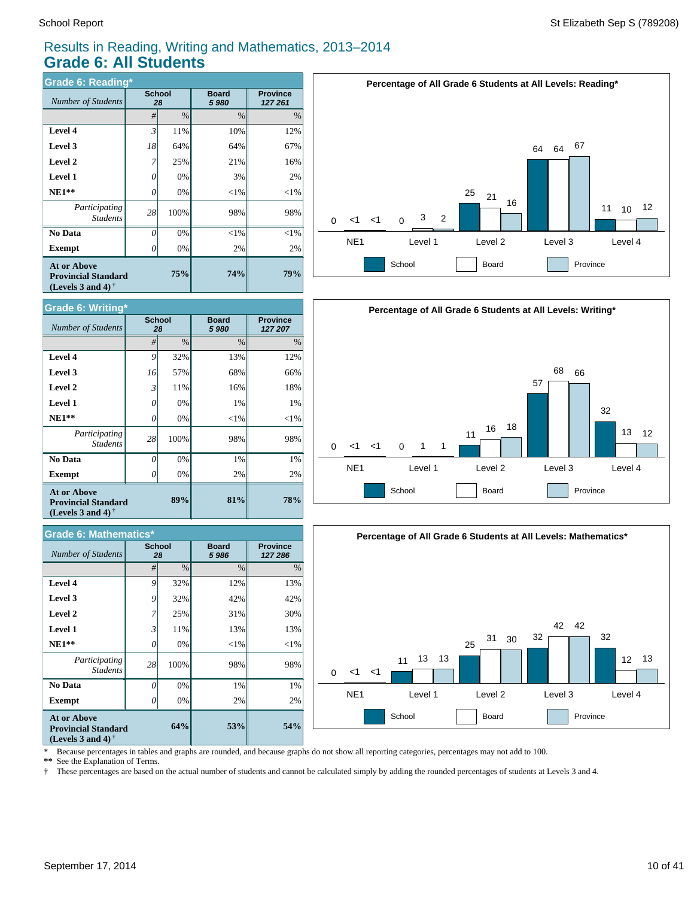# Results in Reading, Writing and Mathematics, 2013–2014 **Grade 6: All Students**

| <b>Grade 6: Reading*</b>                                                       |    |                     |                      |                            |  |  |  |  |  |
|--------------------------------------------------------------------------------|----|---------------------|----------------------|----------------------------|--|--|--|--|--|
| Number of Students                                                             |    | <b>School</b><br>28 | <b>Board</b><br>5980 | <b>Province</b><br>127 261 |  |  |  |  |  |
|                                                                                | #  | $\frac{0}{0}$       | $\frac{0}{0}$        | $\%$                       |  |  |  |  |  |
| Level 4                                                                        | 3  | 11%                 | 10%                  | 12%                        |  |  |  |  |  |
| Level 3                                                                        | 18 | 64%                 | 64%                  | 67%                        |  |  |  |  |  |
| Level 2                                                                        | 7  | 25%                 | 21%                  | 16%                        |  |  |  |  |  |
| <b>Level 1</b>                                                                 | 0  | 0%                  | 3%                   | 2%                         |  |  |  |  |  |
| $NE1**$                                                                        | 0  | 0%                  | $<$ 1%               | ${<}1\%$                   |  |  |  |  |  |
| Participating<br><b>Students</b>                                               | 28 | 100%                | 98%                  | 98%                        |  |  |  |  |  |
| No Data                                                                        | 0  | 0%                  | $<$ 1%               | $<$ 1%                     |  |  |  |  |  |
| Exempt                                                                         | 0  | 0%                  | 2%                   | 2%                         |  |  |  |  |  |
| <b>At or Above</b><br><b>Provincial Standard</b><br>(Levels 3 and 4) $\dagger$ |    | 74%                 | 79%                  |                            |  |  |  |  |  |



|                                                                                                      | <b>Grade 6: Mathematics*</b> |                     |                         |                            |  |  |  |  |
|------------------------------------------------------------------------------------------------------|------------------------------|---------------------|-------------------------|----------------------------|--|--|--|--|
| <b>Number of Students</b>                                                                            |                              | <b>School</b><br>28 | <b>Board</b><br>5 9 8 6 | <b>Province</b><br>127 286 |  |  |  |  |
|                                                                                                      | #                            | $\%$                | $\frac{0}{0}$           | $\%$                       |  |  |  |  |
| Level 4                                                                                              | 9                            | 32%                 | 12%                     | 13%                        |  |  |  |  |
| Level 3                                                                                              | 9                            | 32%                 | 42%                     | 42%                        |  |  |  |  |
| Level 2                                                                                              | 7                            | 25%                 | 31%                     | 30%                        |  |  |  |  |
| <b>Level 1</b>                                                                                       | 3                            | 11%                 | 13%                     | 13%                        |  |  |  |  |
| $NE1**$                                                                                              | 0                            | 0%                  | $<$ 1%                  | $<$ 1%                     |  |  |  |  |
| Participating<br><b>Students</b>                                                                     | 28                           | 100%                | 98%                     | 98%                        |  |  |  |  |
| No Data                                                                                              | O                            | 0%                  | 1%                      | 1%                         |  |  |  |  |
| <b>Exempt</b>                                                                                        | 0                            | 0%                  | 2%                      | 2%                         |  |  |  |  |
| <b>At or Above</b><br><b>Provincial Standard</b><br>(Levels 3 and 4) <sup><math>\dagger</math></sup> | 64%                          | 53%                 | 54%                     |                            |  |  |  |  |







\* Because percentages in tables and graphs are rounded, and because graphs do not show all reporting categories, percentages may not add to 100.

\*\* See the Explanation of Terms.<br>† These percentages are based on

† These percentages are based on the actual number of students and cannot be calculated simply by adding the rounded percentages of students at Levels 3 and 4.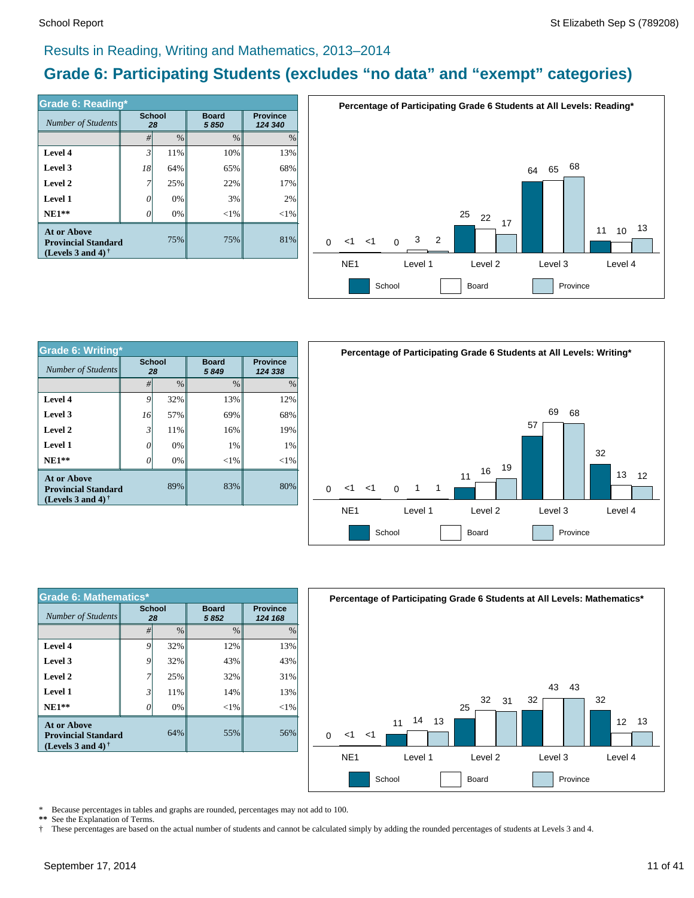#### Results in Reading, Writing and Mathematics, 2013–2014

# **Grade 6: Participating Students (excludes "no data" and "exempt" categories)**

| Grade 6: Reading*                                                              |                     |      |                      |                            |  |  |  |  |
|--------------------------------------------------------------------------------|---------------------|------|----------------------|----------------------------|--|--|--|--|
| Number of Students                                                             | <b>School</b><br>28 |      | <b>Board</b><br>5850 | <b>Province</b><br>124 340 |  |  |  |  |
|                                                                                | #                   | $\%$ | $\%$                 | $\%$                       |  |  |  |  |
| Level 4                                                                        | 3                   | 11%  | 10%                  | 13%                        |  |  |  |  |
| Level 3                                                                        | 18                  | 64%  | 65%                  | 68%                        |  |  |  |  |
| Level 2                                                                        | 7                   | 25%  | 22%                  | 17%                        |  |  |  |  |
| <b>Level 1</b>                                                                 | 0                   | 0%   | 3%                   | 2%                         |  |  |  |  |
| $NE1**$                                                                        | 0                   | 0%   | $< 1\%$              | $<$ 1%                     |  |  |  |  |
| <b>At or Above</b><br><b>Provincial Standard</b><br>(Levels 3 and 4) $\dagger$ |                     | 75%  | 75%                  | 81%                        |  |  |  |  |



| <b>Grade 6: Writing*</b>                                                |                     |               |                      |                            |          |                 | Percentage |
|-------------------------------------------------------------------------|---------------------|---------------|----------------------|----------------------------|----------|-----------------|------------|
| Number of Students                                                      | <b>School</b><br>28 |               | <b>Board</b><br>5849 | <b>Province</b><br>124 338 |          |                 |            |
|                                                                         | #                   | $\frac{0}{0}$ | $\%$                 | $\frac{0}{0}$              |          |                 |            |
| Level 4                                                                 | 9                   | 32%           | 13%                  | 12%                        |          |                 |            |
| Level 3                                                                 | 16                  | 57%           | 69%                  | 68%                        |          |                 |            |
| Level 2                                                                 | 3                   | 11%           | 16%                  | 19%                        |          |                 |            |
| Level 1                                                                 | 0                   | 0%            | 1%                   | 1%                         |          |                 |            |
| $NE1**$                                                                 | 0                   | 0%            | ${<}1\%$             | ${<}1\%$                   |          |                 |            |
| At or Above<br><b>Provincial Standard</b><br>(Levels 3 and 4) $\dagger$ |                     | 89%           | 83%                  | 80%                        | $\Omega$ | <1              | 1>         |
|                                                                         |                     |               |                      |                            |          | NE <sub>1</sub> |            |



| <b>Grade 6: Mathematics*</b>                                                   |                     |               |                      |               |  |  |  |  |
|--------------------------------------------------------------------------------|---------------------|---------------|----------------------|---------------|--|--|--|--|
| <b>Number of Students</b>                                                      | <b>School</b><br>28 |               | <b>Board</b><br>5852 |               |  |  |  |  |
|                                                                                | #                   | $\frac{0}{0}$ | $\frac{0}{0}$        | $\frac{0}{0}$ |  |  |  |  |
| Level 4                                                                        | 9                   | 32%           | 12%                  | 13%           |  |  |  |  |
| Level 3                                                                        | 9                   | 32%           | 43%                  | 43%           |  |  |  |  |
| Level 2                                                                        |                     | 25%           | 32%                  | 31%           |  |  |  |  |
| <b>Level 1</b>                                                                 | 3                   | 11%           | 14%                  | 13%           |  |  |  |  |
| $NE1**$                                                                        | 0                   | 0%            | $<$ 1%               | $<$ 1%        |  |  |  |  |
| <b>At or Above</b><br><b>Provincial Standard</b><br>(Levels 3 and 4) $\dagger$ |                     | 64%           | 55%                  | 56%           |  |  |  |  |



\* Because percentages in tables and graphs are rounded, percentages may not add to 100.

\*\* See the Explanation of Terms.<br>† These percentages are based o

† These percentages are based on the actual number of students and cannot be calculated simply by adding the rounded percentages of students at Levels 3 and 4.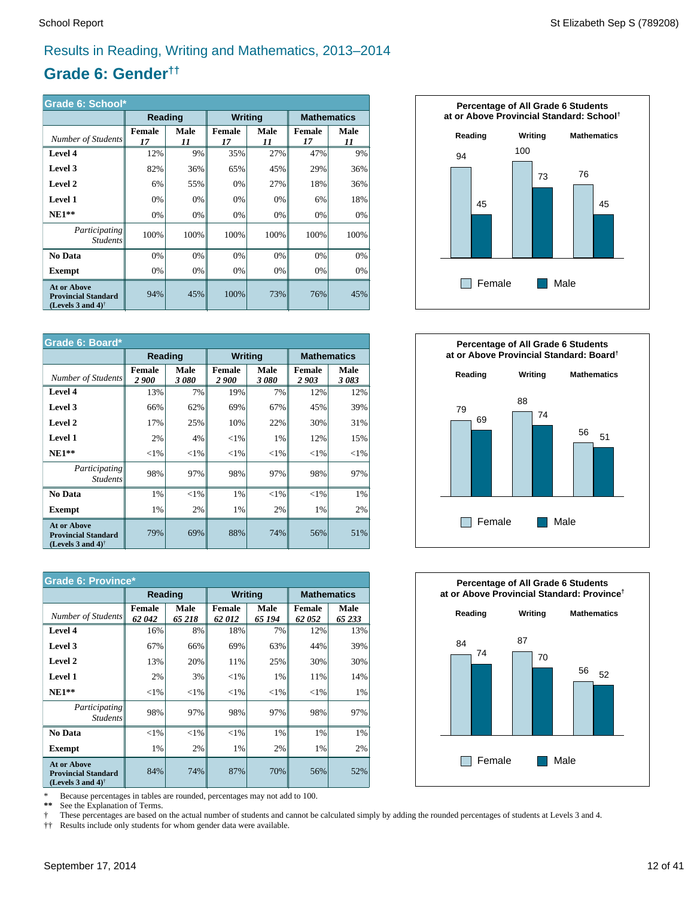# Results in Reading, Writing and Mathematics, 2013–2014

# **Grade 6: Gender††**

| Grade 6: School*                                                                  |                     |            |                     |                   |                    |            |  |  |
|-----------------------------------------------------------------------------------|---------------------|------------|---------------------|-------------------|--------------------|------------|--|--|
|                                                                                   | Reading             |            | <b>Writing</b>      |                   | <b>Mathematics</b> |            |  |  |
| Number of Students                                                                | <b>Female</b><br>17 | Male<br>11 | <b>Female</b><br>17 | <b>Male</b><br>11 | Female<br>17       | Male<br>11 |  |  |
| Level 4                                                                           | 12%                 | 9%         | 35%                 | 27%               | 47%                | 9%         |  |  |
| Level 3                                                                           | 82%                 | 36%        | 65%                 | 45%               | 29%                | 36%        |  |  |
| Level 2                                                                           | 6%                  | 55%        | 0%                  | 27%               | 18%                | 36%        |  |  |
| <b>Level 1</b>                                                                    | 0%                  | 0%         | 0%                  | 0%                | 6%                 | 18%        |  |  |
| $NE1**$                                                                           | 0%                  | 0%         | 0%                  | 0%                | 0%                 | 0%         |  |  |
| Participating<br><b>Students</b>                                                  | 100%                | 100%       | 100%                | 100%              | 100%               | 100%       |  |  |
| No Data                                                                           | 0%                  | 0%         | 0%                  | 0%                | 0%                 | 0%         |  |  |
| <b>Exempt</b>                                                                     | 0%                  | 0%         | 0%                  | 0%                | 0%                 | 0%         |  |  |
| <b>At or Above</b><br><b>Provincial Standard</b><br>(Levels 3 and 4) <sup>†</sup> | 94%                 | 45%        | 100%                | 73%               | 76%                | 45%        |  |  |

| Grade 6: Board*                                                                                      |                       |              |                               |              |                       |                    |  |  |
|------------------------------------------------------------------------------------------------------|-----------------------|--------------|-------------------------------|--------------|-----------------------|--------------------|--|--|
|                                                                                                      | Reading               |              | <b>Writing</b>                |              |                       | <b>Mathematics</b> |  |  |
| Number of Students                                                                                   | <b>Female</b><br>2900 | Male<br>3080 | <b>Female</b><br><i>2 900</i> | Male<br>3080 | <b>Female</b><br>2903 | Male<br>3083       |  |  |
| Level 4                                                                                              | 13%                   | 7%           | 19%                           | 7%           | 12%                   | 12%                |  |  |
| Level 3                                                                                              | 66%                   | 62%          | 69%                           | 67%          | 45%                   | 39%                |  |  |
| Level 2                                                                                              | 17%                   | 25%          | 10%                           | 22%          | 30%                   | 31%                |  |  |
| <b>Level 1</b>                                                                                       | 2%                    | 4%           | ${<}1\%$                      | 1%           | 12%                   | 15%                |  |  |
| $NE1**$                                                                                              | ${<}1\%$              | ${<}1\%$     | ${<}1\%$                      | ${<}1\%$     | $<$ 1%                | ${<}1\%$           |  |  |
| <i>Participating</i><br><b>Students</b>                                                              | 98%                   | 97%          | 98%                           | 97%          | 98%                   | 97%                |  |  |
| No Data                                                                                              | 1%                    | ${<}1\%$     | 1%                            | $< 1\%$      | $<$ 1%                | $1\%$              |  |  |
| <b>Exempt</b>                                                                                        | 1%                    | 2%           | 1%                            | 2%           | 1%                    | 2%                 |  |  |
| <b>At or Above</b><br><b>Provincial Standard</b><br>(Levels 3 and 4) <sup><math>\dagger</math></sup> | 79%                   | 69%          | 88%                           | 74%          | 56%                   | 51%                |  |  |

| <b>Grade 6: Province*</b>                                                                            |                 |                |                        |                |                        |                |  |
|------------------------------------------------------------------------------------------------------|-----------------|----------------|------------------------|----------------|------------------------|----------------|--|
|                                                                                                      | Reading         |                | <b>Writing</b>         |                | <b>Mathematics</b>     |                |  |
| Number of Students                                                                                   | Female<br>62042 | Male<br>65 218 | <b>Female</b><br>62012 | Male<br>65 194 | <b>Female</b><br>62052 | Male<br>65 233 |  |
| Level 4                                                                                              | 16%             | 8%             | 18%                    | 7%             | 12%                    | 13%            |  |
| Level 3                                                                                              | 67%             | 66%            | 69%                    | 63%            | 44%                    | 39%            |  |
| Level 2                                                                                              | 13%             | 20%            | 11%                    | 25%            | 30%                    | 30%            |  |
| <b>Level 1</b>                                                                                       | 2%              | 3%             | $<$ 1%                 | 1%             | 11%                    | 14%            |  |
| $NE1**$                                                                                              | ${<}1\%$        | ${<}1\%$       | ${<}1\%$               | ${<}1\%$       | ${<}1\%$               | 1%             |  |
| <i>Participating</i><br><b>Students</b>                                                              | 98%             | 97%            | 98%                    | 97%            | 98%                    | 97%            |  |
| No Data                                                                                              | $< 1\%$         | $<$ 1%         | $<$ 1%                 | 1%             | 1%                     | 1%             |  |
| <b>Exempt</b>                                                                                        | 1%              | 2%             | 1%                     | 2%             | 1%                     | 2%             |  |
| <b>At or Above</b><br><b>Provincial Standard</b><br>(Levels 3 and 4) <sup><math>\dagger</math></sup> | 84%             | 74%            | 87%                    | 70%            | 56%                    | 52%            |  |

\* Because percentages in tables are rounded, percentages may not add to 100.

 **\*\*** See the Explanation of Terms.

 These percentages are based on the actual number of students and cannot be calculated simply by adding the rounded percentages of students at Levels 3 and 4.

† †† Results include only students for whom gender data were available.





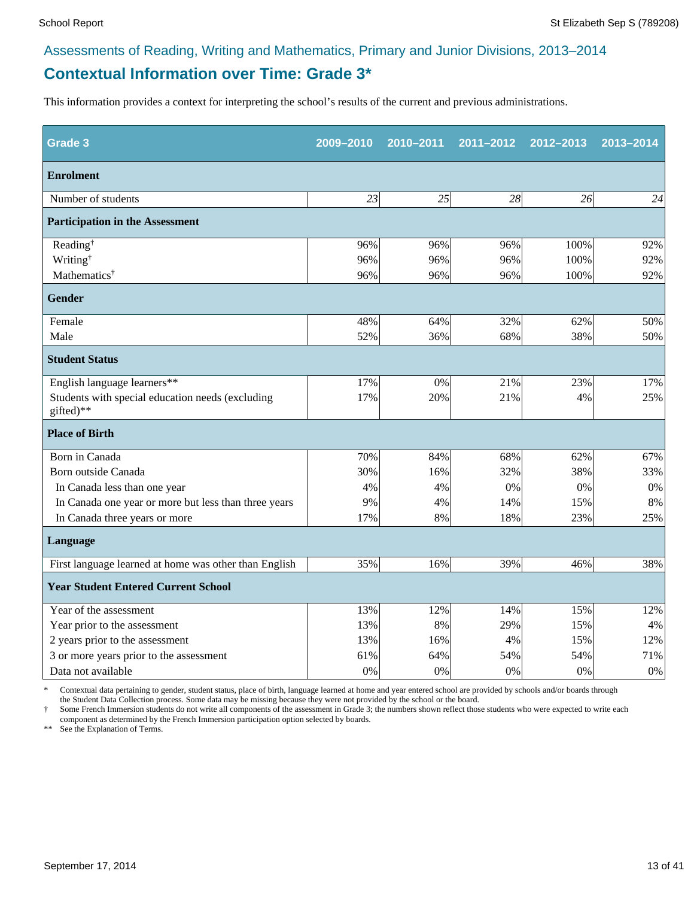# **Contextual Information over Time: Grade 3\***

This information provides a context for interpreting the school's results of the current and previous administrations.

| Grade <sub>3</sub>                                            | 2009-2010 | 2010-2011 | 2011-2012 | 2012-2013 | 2013-2014 |
|---------------------------------------------------------------|-----------|-----------|-----------|-----------|-----------|
| <b>Enrolment</b>                                              |           |           |           |           |           |
| Number of students                                            | 23        | 25        | 28        | 26        | 24        |
| <b>Participation in the Assessment</b>                        |           |           |           |           |           |
| Reading <sup>†</sup>                                          | 96%       | 96%       | 96%       | 100%      | 92%       |
| Writing <sup>†</sup>                                          | 96%       | 96%       | 96%       | 100%      | 92%       |
| Mathematics <sup>†</sup>                                      | 96%       | 96%       | 96%       | 100%      | 92%       |
| <b>Gender</b>                                                 |           |           |           |           |           |
| Female                                                        | 48%       | 64%       | 32%       | 62%       | 50%       |
| Male                                                          | 52%       | 36%       | 68%       | 38%       | 50%       |
| <b>Student Status</b>                                         |           |           |           |           |           |
| English language learners**                                   | 17%       | 0%        | 21%       | 23%       | 17%       |
| Students with special education needs (excluding<br>gifted)** | 17%       | 20%       | 21%       | 4%        | 25%       |
| <b>Place of Birth</b>                                         |           |           |           |           |           |
| Born in Canada                                                | 70%       | 84%       | 68%       | 62%       | 67%       |
| Born outside Canada                                           | 30%       | 16%       | 32%       | 38%       | 33%       |
| In Canada less than one year                                  | 4%        | 4%        | 0%        | 0%        | 0%        |
| In Canada one year or more but less than three years          | 9%        | 4%        | 14%       | 15%       | 8%        |
| In Canada three years or more                                 | 17%       | 8%        | 18%       | 23%       | 25%       |
| Language                                                      |           |           |           |           |           |
| First language learned at home was other than English         | 35%       | 16%       | 39%       | 46%       | 38%       |
| <b>Year Student Entered Current School</b>                    |           |           |           |           |           |
| Year of the assessment                                        | 13%       | 12%       | 14%       | 15%       | 12%       |
| Year prior to the assessment                                  | 13%       | 8%        | 29%       | 15%       | 4%        |
| 2 years prior to the assessment                               | 13%       | 16%       | 4%        | 15%       | 12%       |
| 3 or more years prior to the assessment                       | 61%       | 64%       | 54%       | 54%       | 71%       |
| Data not available                                            | 0%        | 0%        | 0%        | 0%        | $0\%$     |

\* Contextual data pertaining to gender, student status, place of birth, language learned at home and year entered school are provided by schools and/or boards through the Student Data Collection process. Some data may be missing because they were not provided by the school or the board.

† Some French Immersion students do not write all components of the assessment in Grade 3; the numbers shown reflect those students who were expected to write each component as determined by the French Immersion participation option selected by boards.

\*\* See the Explanation of Terms.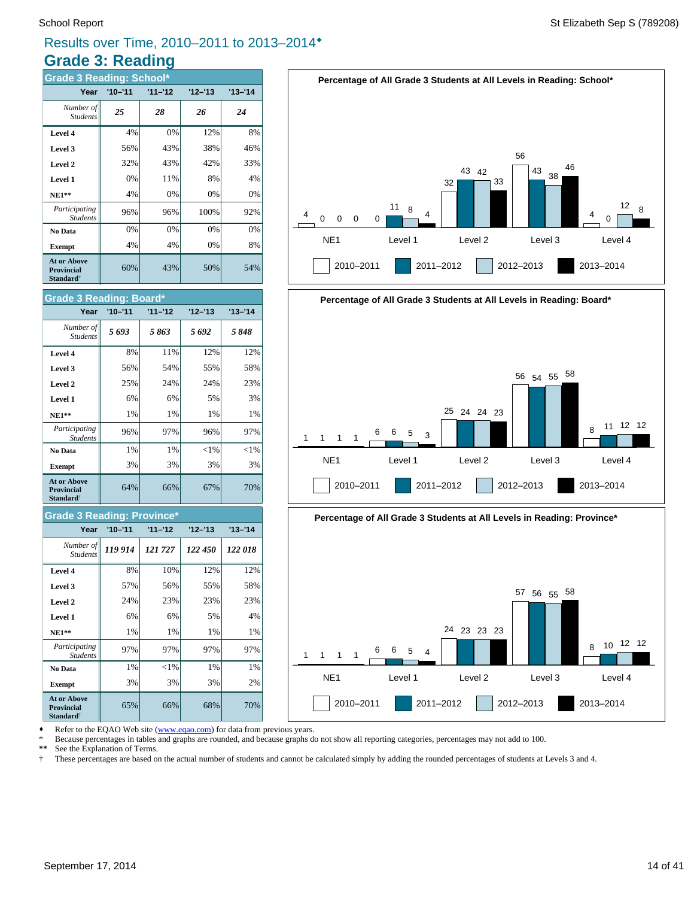# **Grade 3: Reading** Results over Time, 2010–2011 to 2013–2014®

| <b>Grade 3 Reading: School*</b>                                  |             |           |           |           |  |  |  |  |  |
|------------------------------------------------------------------|-------------|-----------|-----------|-----------|--|--|--|--|--|
| Year                                                             | $'10 - '11$ | $11 - 12$ | $12 - 13$ | $13 - 14$ |  |  |  |  |  |
| Number of<br><b>Students</b>                                     | 25          | 28        | 26        | 24        |  |  |  |  |  |
| Level 4                                                          | 4%          | 0%        | 12%       | 8%        |  |  |  |  |  |
| Level 3                                                          | 56%         | 43%       | 38%       | 46%       |  |  |  |  |  |
| Level 2                                                          | 32%         | 43%       | 42%       | 33%       |  |  |  |  |  |
| Level 1                                                          | 0%          | 11%       | 8%        | 4%        |  |  |  |  |  |
| <b>NE1**</b>                                                     | 4%          | 0%        | 0%        | 0%        |  |  |  |  |  |
| Participating<br><b>Students</b>                                 | 96%         | 96%       | 100%      | 92%       |  |  |  |  |  |
| No Data                                                          | 0%          | 0%        | 0%        | 0%        |  |  |  |  |  |
| <b>Exempt</b>                                                    | 4%          | 4%        | 0%        | 8%        |  |  |  |  |  |
| <b>At or Above</b><br><b>Provincial</b><br>Standard <sup>†</sup> | 60%         | 43%       | 50%       | 54%       |  |  |  |  |  |



#### **Grade 3 Reading: Province\***

| Year                                                                    | $'10 - '11$ | $11 - 12$ | $12 - 13$ | $13 - 14$ |
|-------------------------------------------------------------------------|-------------|-----------|-----------|-----------|
| Number of<br><b>Students</b>                                            | 119 914     | 121727    | 122 450   | 122018    |
| Level 4                                                                 | 8%          | 10%       | 12%       | 12%       |
| Level 3                                                                 | 57%         | 56%       | 55%       | 58%       |
| Level 2                                                                 | 24%         | 23%       | 23%       | 23%       |
| Level 1                                                                 | 6%          | 6%        | 5%        | 4%        |
| $NE1**$                                                                 | 1%          | 1%        | 1%        | 1%        |
| Participating<br><b>Students</b>                                        | 97%         | 97%       | 97%       | 97%       |
| No Data                                                                 | 1%          | $<$ 1%    | 1%        | 1%        |
| <b>Exempt</b>                                                           | 3%          | 3%        | 3%        | 2%        |
| <b>At or Above</b><br><b>Provincial</b><br><b>Standard</b> <sup>†</sup> | 65%         | 66%       | 68%       | 70%       |







Refer to the EQAO Web site (www.eqao.com) for data from previous years.

\* Because percentages in tables and graphs are rounded, and because graphs do not show all reporting categories, percentages may not add to 100.

 **\*\*** See the Explanation of Terms.

 † These percentages are based on the actual number of students and cannot be calculated simply by adding the rounded percentages of students at Levels 3 and 4.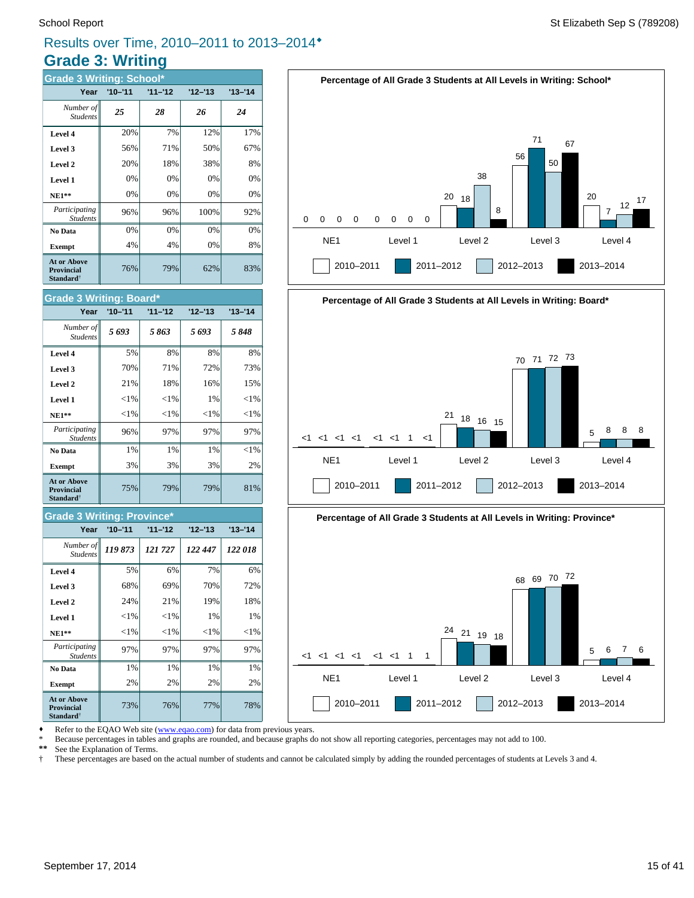# **Grade 3: Writing** Results over Time, 2010–2011 to 2013–2014®

| <b>Grade 3 Writing: School*</b>                                  |             |           |           |             |  |  |  |  |  |
|------------------------------------------------------------------|-------------|-----------|-----------|-------------|--|--|--|--|--|
| Year                                                             | $'10 - '11$ | $11 - 12$ | $12 - 13$ | $'13 - '14$ |  |  |  |  |  |
| Number of<br><b>Students</b>                                     | 25          | 28        | 26        | 24          |  |  |  |  |  |
| Level 4                                                          | 20%         | 7%        | 12%       | 17%         |  |  |  |  |  |
| Level 3                                                          | 56%         | 71%       | 50%       | 67%         |  |  |  |  |  |
| Level 2                                                          | 20%         | 18%       | 38%       | 8%          |  |  |  |  |  |
| Level 1                                                          | 0%          | 0%        | 0%        | 0%          |  |  |  |  |  |
| <b>NE1**</b>                                                     | 0%          | 0%        | 0%        | 0%          |  |  |  |  |  |
| Participating<br><b>Students</b>                                 | 96%         | 96%       | 100%      | 92%         |  |  |  |  |  |
| No Data                                                          | 0%          | 0%        | 0%        | 0%          |  |  |  |  |  |
| <b>Exempt</b>                                                    | 4%          | 4%        | 0%        | 8%          |  |  |  |  |  |
| <b>At or Above</b><br><b>Provincial</b><br>Standard <sup>†</sup> | 76%         | 79%       | 62%       | 83%         |  |  |  |  |  |



#### **Grade 3 Writing: Province\***

| Year                                                             | $'10 - '11$ | $11 - 12$ | $12 - 13$ | $13 - 14$ |
|------------------------------------------------------------------|-------------|-----------|-----------|-----------|
| Number of<br><b>Students</b>                                     | 119873      | 121727    | 122 447   | 122018    |
| Level 4                                                          | 5%          | 6%        | 7%        | 6%        |
| Level 3                                                          | 68%         | 69%       | 70%       | 72%       |
| Level 2                                                          | 24%         | 21%       | 19%       | 18%       |
| Level 1                                                          | ${<}1\%$    | ${<}1\%$  | 1%        | 1%        |
| <b>NE1**</b>                                                     | ${<}1\%$    | ${<}1\%$  | ${<}1\%$  | ${<}1\%$  |
| Participating<br><b>Students</b>                                 | 97%         | 97%       | 97%       | 97%       |
| No Data                                                          | 1%          | 1%        | 1%        | 1%        |
| <b>Exempt</b>                                                    | 2%          | 2%        | 2%        | 2%        |
| <b>At or Above</b><br><b>Provincial</b><br>Standard <sup>†</sup> | 73%         | 76%       | 77%       | 78%       |









Refer to the EQAO Web site (www.eqao.com) for data from previous years.

\* Because percentages in tables and graphs are rounded, and because graphs do not show all reporting categories, percentages may not add to 100.

 **\*\*** See the Explanation of Terms.

 † These percentages are based on the actual number of students and cannot be calculated simply by adding the rounded percentages of students at Levels 3 and 4.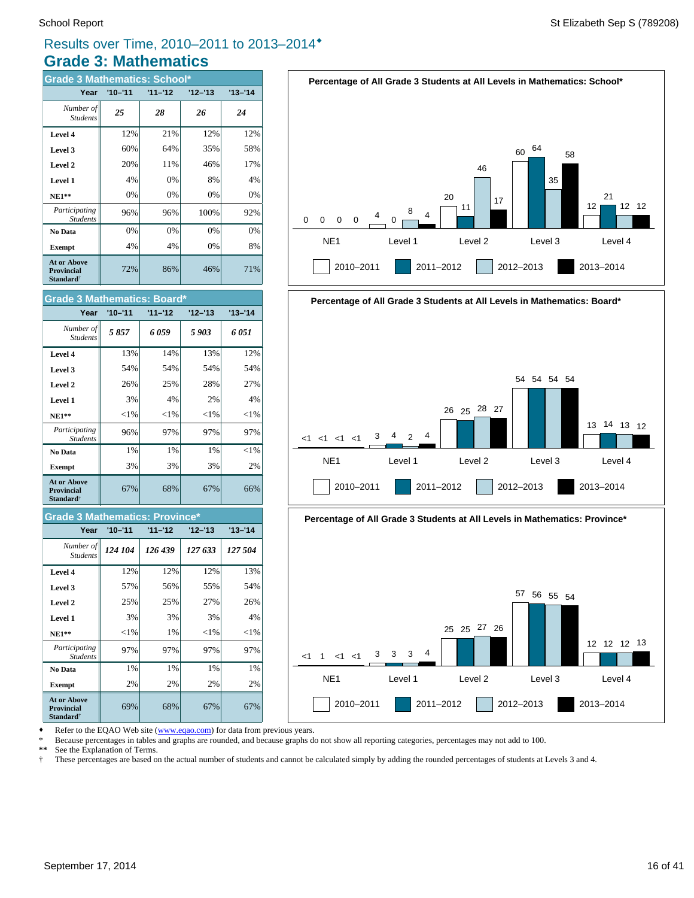# **Grade 3: Mathematics** Results over Time, 2010–2011 to 2013–2014®

| <b>Grade 3 Mathematics: School*</b>                                      |             |           |           |           |  |  |  |  |  |
|--------------------------------------------------------------------------|-------------|-----------|-----------|-----------|--|--|--|--|--|
| Year                                                                     | $'10 - '11$ | $11 - 12$ | $12 - 13$ | $13 - 14$ |  |  |  |  |  |
| Number of<br><b>Students</b>                                             | 25          | 28        | 26        | 24        |  |  |  |  |  |
| Level 4                                                                  | 12%         | 21%       | 12%       | 12%       |  |  |  |  |  |
| Level 3                                                                  | 60%         | 64%       | 35%       | 58%       |  |  |  |  |  |
| Level 2                                                                  | 20%         | 11%       | 46%       | 17%       |  |  |  |  |  |
| Level 1                                                                  | 4%          | 0%        | 8%        | 4%        |  |  |  |  |  |
| <b>NE1**</b>                                                             | 0%          | 0%        | 0%        | 0%        |  |  |  |  |  |
| Participating<br><b>Students</b>                                         | 96%         | 96%       | 100%      | 92%       |  |  |  |  |  |
| No Data                                                                  | 0%          | 0%        | 0%        | 0%        |  |  |  |  |  |
| <b>Exempt</b>                                                            | 4%          | 4%        | 0%        | 8%        |  |  |  |  |  |
| <b>At or Above</b><br><b>Provincial</b><br>$\mathbf{Standard}^{\dagger}$ | 72%         | 86%       | 46%       | 71%       |  |  |  |  |  |



#### **Grade 3 Mathematics: Province\***

| Year                                                             | $'10 - '11$ | $11 - 12$ | $12 - 13$ | $13 - 14$ |
|------------------------------------------------------------------|-------------|-----------|-----------|-----------|
| Number of<br><b>Students</b>                                     | 124 104     | 126 439   | 127 633   | 127 504   |
| Level 4                                                          | 12%         | 12%       | 12%       | 13%       |
| Level 3                                                          | 57%         | 56%       | 55%       | 54%       |
| Level 2                                                          | 25%         | 25%       | 27%       | 26%       |
| Level 1                                                          | 3%          | 3%        | 3%        | 4%        |
| $NE1**$                                                          | ${<}1\%$    | 1%        | ${<}1\%$  | ${<}1\%$  |
| Participating<br><b>Students</b>                                 | 97%         | 97%       | 97%       | 97%       |
| No Data                                                          | 1%          | 1%        | 1%        | 1%        |
| <b>Exempt</b>                                                    | 2%          | 2%        | 2%        | 2%        |
| <b>At or Above</b><br><b>Provincial</b><br>Standard <sup>†</sup> | 69%         | 68%       | 67%       | 67%       |









Refer to the EQAO Web site (www.eqao.com) for data from previous years.

\* Because percentages in tables and graphs are rounded, and because graphs do not show all reporting categories, percentages may not add to 100.

 **\*\*** See the Explanation of Terms.

 † These percentages are based on the actual number of students and cannot be calculated simply by adding the rounded percentages of students at Levels 3 and 4.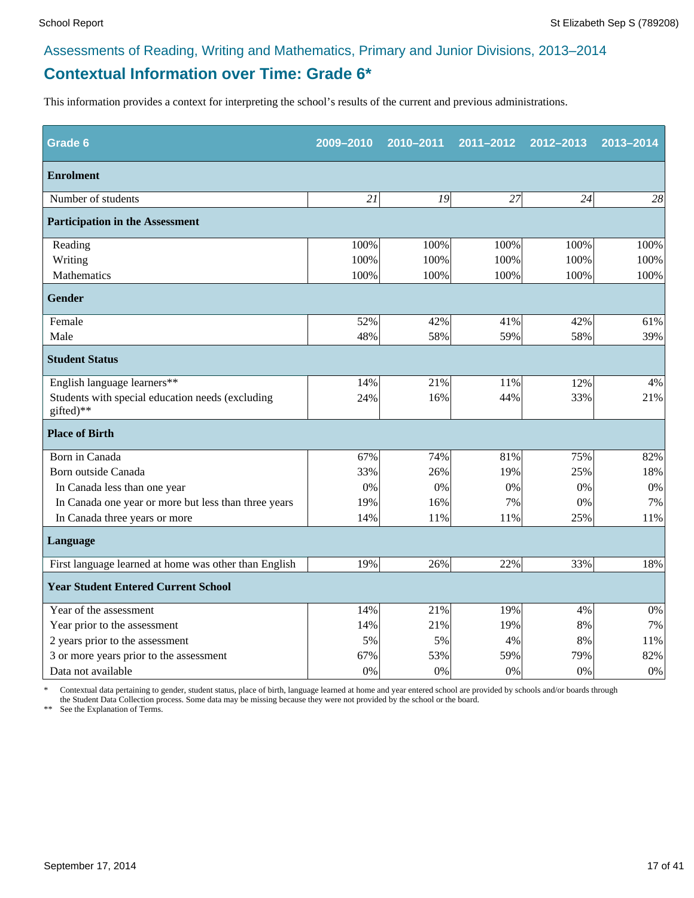# **Contextual Information over Time: Grade 6\***

This information provides a context for interpreting the school's results of the current and previous administrations.

| Grade 6                                                       | 2009-2010 | 2010-2011 | 2011-2012 | 2012-2013 | 2013-2014 |
|---------------------------------------------------------------|-----------|-----------|-----------|-----------|-----------|
| <b>Enrolment</b>                                              |           |           |           |           |           |
| Number of students                                            | 21        | 19        | 27        | 24        | 28        |
| <b>Participation in the Assessment</b>                        |           |           |           |           |           |
| Reading                                                       | 100%      | 100%      | 100%      | 100%      | 100%      |
| Writing                                                       | 100%      | 100%      | 100%      | 100%      | 100%      |
| Mathematics                                                   | 100%      | 100%      | 100%      | 100%      | 100%      |
| <b>Gender</b>                                                 |           |           |           |           |           |
| Female                                                        | 52%       | 42%       | 41%       | 42%       | 61%       |
| Male                                                          | 48%       | 58%       | 59%       | 58%       | 39%       |
| <b>Student Status</b>                                         |           |           |           |           |           |
| English language learners**                                   | 14%       | 21%       | 11%       | 12%       | 4%        |
| Students with special education needs (excluding<br>gifted)** | 24%       | 16%       | 44%       | 33%       | 21%       |
| <b>Place of Birth</b>                                         |           |           |           |           |           |
| Born in Canada                                                | 67%       | 74%       | 81%       | 75%       | 82%       |
| Born outside Canada                                           | 33%       | 26%       | 19%       | 25%       | 18%       |
| In Canada less than one year                                  | 0%        | 0%        | 0%        | 0%        | 0%        |
| In Canada one year or more but less than three years          | 19%       | 16%       | 7%        | 0%        | 7%        |
| In Canada three years or more                                 | 14%       | 11%       | 11%       | 25%       | 11%       |
| Language                                                      |           |           |           |           |           |
| First language learned at home was other than English         | 19%       | 26%       | 22%       | 33%       | 18%       |
| <b>Year Student Entered Current School</b>                    |           |           |           |           |           |
| Year of the assessment                                        | 14%       | 21%       | 19%       | 4%        | $0\%$     |
| Year prior to the assessment                                  | 14%       | 21%       | 19%       | 8%        | 7%        |
| 2 years prior to the assessment                               | 5%        | 5%        | 4%        | 8%        | 11%       |
| 3 or more years prior to the assessment                       | 67%       | 53%       | 59%       | 79%       | 82%       |
| Data not available                                            | 0%        | 0%        | 0%        | 0%        | $0\%$     |

\* Contextual data pertaining to gender, student status, place of birth, language learned at home and year entered school are provided by schools and/or boards through the Student Data Collection process. Some data may be missing because they were not provided by the school or the board.

\*\* See the Explanation of Terms.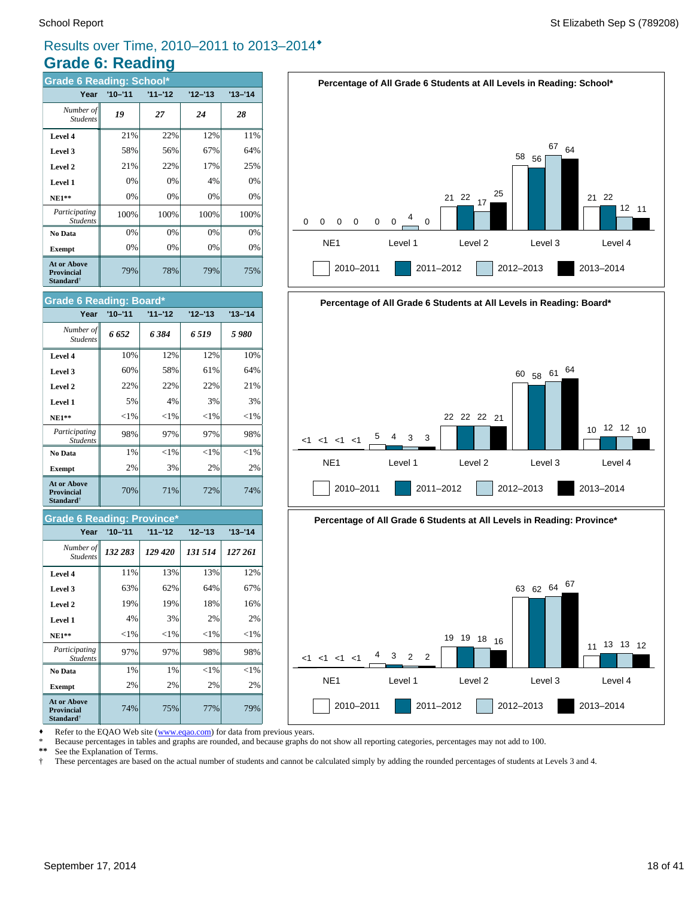# Results over Time, 2010–2011 to 2013–2014®

# **Grade 6: Reading**

| <b>Grade 6 Reading: School*</b>                                  |             |           |           |             |  |  |  |  |  |
|------------------------------------------------------------------|-------------|-----------|-----------|-------------|--|--|--|--|--|
| Year                                                             | $'10 - '11$ | $11 - 12$ | $12 - 13$ | $'13 - '14$ |  |  |  |  |  |
| Number of<br><b>Students</b>                                     | 19          | 27        | 24        | 28          |  |  |  |  |  |
| Level 4                                                          | 21%         | 22%       | 12%       | 11%         |  |  |  |  |  |
| Level 3                                                          | 58%         | 56%       | 67%       | 64%         |  |  |  |  |  |
| Level 2                                                          | 21%         | 22%       | 17%       | 25%         |  |  |  |  |  |
| Level 1                                                          | 0%          | 0%        | 4%        | 0%          |  |  |  |  |  |
| <b>NE1**</b>                                                     | 0%          | 0%        | 0%        | 0%          |  |  |  |  |  |
| Participating<br><b>Students</b>                                 | 100%        | 100%      | 100%      | 100%        |  |  |  |  |  |
| No Data                                                          | 0%          | 0%        | 0%        | 0%          |  |  |  |  |  |
| <b>Exempt</b>                                                    | 0%          | 0%        | 0%        | 0%          |  |  |  |  |  |
| <b>At or Above</b><br><b>Provincial</b><br>Standard <sup>†</sup> | 79%         | 78%       | 79%       | 75%         |  |  |  |  |  |



#### **Grade 6 Reading: Province\***

| Year                                                                     | $'10 - '11$ | $11 - 12$ | $12 - 13$ | $13 - 14$ |
|--------------------------------------------------------------------------|-------------|-----------|-----------|-----------|
| Number of<br><b>Students</b>                                             | 132 283     | 129 420   | 131 514   | 127 261   |
| Level 4                                                                  | 11%         | 13%       | 13%       | 12%       |
| Level 3                                                                  | 63%         | 62%       | 64%       | 67%       |
| Level 2                                                                  | 19%         | 19%       | 18%       | 16%       |
| Level 1                                                                  | 4%          | 3%        | 2%        | 2%        |
| <b>NE1**</b>                                                             | $<$ 1%      | ${<}1\%$  | ${<}1\%$  | $<$ 1%    |
| Participating<br><b>Students</b>                                         | 97%         | 97%       | 98%       | 98%       |
| No Data                                                                  | 1%          | 1%        | $<$ 1%    | $<$ 1%    |
| <b>Exempt</b>                                                            | 2%          | 2%        | 2%        | 2%        |
| <b>At or Above</b><br><b>Provincial</b><br>$\mathbf{Standard}^{\dagger}$ | 74%         | 75%       | 77%       | 79%       |







Refer to the EQAO Web site (www.eqao.com) for data from previous years.

\* Because percentages in tables and graphs are rounded, and because graphs do not show all reporting categories, percentages may not add to 100.

 **\*\*** See the Explanation of Terms.

 † These percentages are based on the actual number of students and cannot be calculated simply by adding the rounded percentages of students at Levels 3 and 4.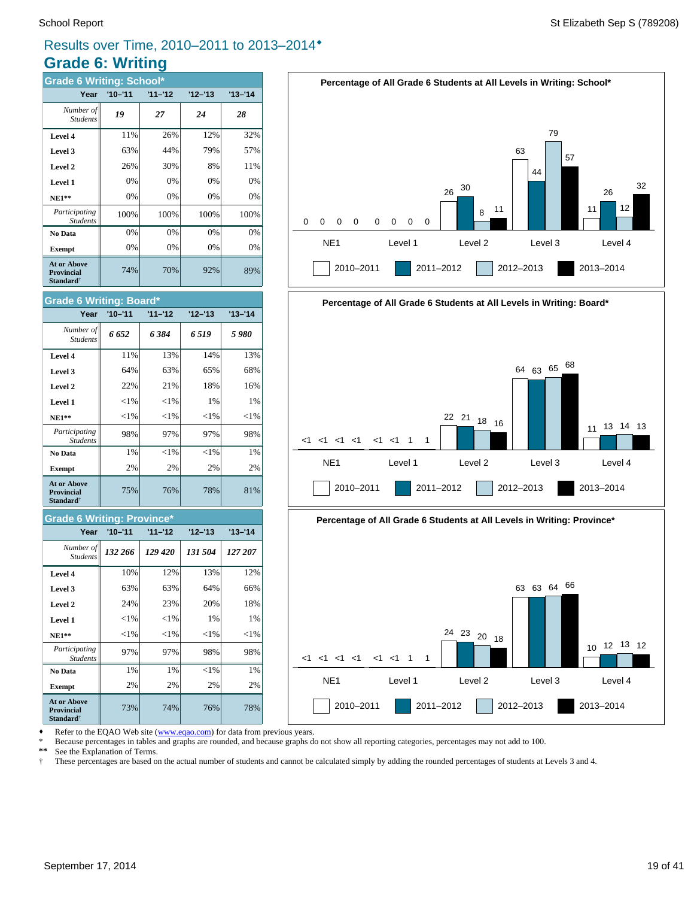# Results over Time, 2010–2011 to 2013–2014®

# **Grade 6: Writing**

| <b>Grade 6 Writing: School*</b>                                          |             |           |           |           |  |  |  |  |  |
|--------------------------------------------------------------------------|-------------|-----------|-----------|-----------|--|--|--|--|--|
| Year                                                                     | $'10 - '11$ | $11 - 12$ | $12 - 13$ | $13 - 14$ |  |  |  |  |  |
| Number of<br><b>Students</b>                                             | 19          | 27        | 24        | 28        |  |  |  |  |  |
| Level 4                                                                  | 11%         | 26%       | 12%       | 32%       |  |  |  |  |  |
| Level 3                                                                  | 63%         | 44%       | 79%       | 57%       |  |  |  |  |  |
| Level 2                                                                  | 26%         | 30%       | 8%        | 11%       |  |  |  |  |  |
| Level 1                                                                  | 0%          | 0%        | 0%        | 0%        |  |  |  |  |  |
| <b>NE1**</b>                                                             | 0%          | 0%        | 0%        | 0%        |  |  |  |  |  |
| Participating<br><b>Students</b>                                         | 100%        | 100%      | 100%      | 100%      |  |  |  |  |  |
| No Data                                                                  | 0%          | 0%        | 0%        | 0%        |  |  |  |  |  |
| <b>Exempt</b>                                                            | 0%          | 0%        | 0%        | 0%        |  |  |  |  |  |
| <b>At or Above</b><br><b>Provincial</b><br>$\mathbf{Standard}^{\dagger}$ | 74%         | 70%       | 92%       | 89%       |  |  |  |  |  |



| Number of  <br><b>Students</b>                                   | 6 652    | 6384     | 6519     | 5980     |
|------------------------------------------------------------------|----------|----------|----------|----------|
| Level 4                                                          | 11%      | 13%      | 14%      | 13%      |
| Level 3                                                          | 64%      | 63%      | 65%      | 68%      |
| Level 2                                                          | 22%      | 21%      | 18%      | 16%      |
| Level 1                                                          | ${<}1\%$ | ${<}1\%$ | 1%       | 1%       |
| <b>NE1**</b>                                                     | ${<}1\%$ | ${<}1\%$ | ${<}1\%$ | ${<}1\%$ |
| Participating<br><b>Students</b>                                 | 98%      | 97%      | 97%      | 98%      |
| No Data                                                          | 1%       | ${<}1\%$ | $<$ 1%   | 1%       |
| <b>Exempt</b>                                                    | 2%       | 2%       | 2%       | 2%       |
| <b>At or Above</b><br><b>Provincial</b><br>Standard <sup>†</sup> | 75%      | 76%      | 78%      | 81%      |

#### **Grade 6 Writing: Province\***

| Year                                                                     | $'10 - '11$ | $11 - 12$ | $12 - 13$ | $13 - 14$ |
|--------------------------------------------------------------------------|-------------|-----------|-----------|-----------|
| Number of<br><b>Students</b>                                             | 132 266     | 129 420   | 131 504   | 127 207   |
| Level 4                                                                  | 10%         | 12%       | 13%       | 12%       |
| Level 3                                                                  | 63%         | 63%       | 64%       | 66%       |
| Level 2                                                                  | 24%         | 23%       | 20%       | 18%       |
| Level 1                                                                  | $<$ 1%      | ${<}1\%$  | $1\%$     | 1%        |
| <b>NE1**</b>                                                             | ${<}1\%$    | ${<}1\%$  | ${<}1\%$  | ${<}1\%$  |
| Participating<br><b>Students</b>                                         | 97%         | 97%       | 98%       | 98%       |
| No Data                                                                  | 1%          | 1%        | ${<}1\%$  | 1%        |
| <b>Exempt</b>                                                            | 2%          | 2%        | 2%        | 2%        |
| <b>At or Above</b><br><b>Provincial</b><br>$\mathbf{Standard}^{\dagger}$ | 73%         | 74%       | 76%       | 78%       |



**Percentage of All Grade 6 Students at All Levels in Writing: School\***

63

44

79

57



Refer to the EQAO Web site (www.eqao.com) for data from previous years.

\* Because percentages in tables and graphs are rounded, and because graphs do not show all reporting categories, percentages may not add to 100.

 **\*\*** See the Explanation of Terms.

 † These percentages are based on the actual number of students and cannot be calculated simply by adding the rounded percentages of students at Levels 3 and 4. 32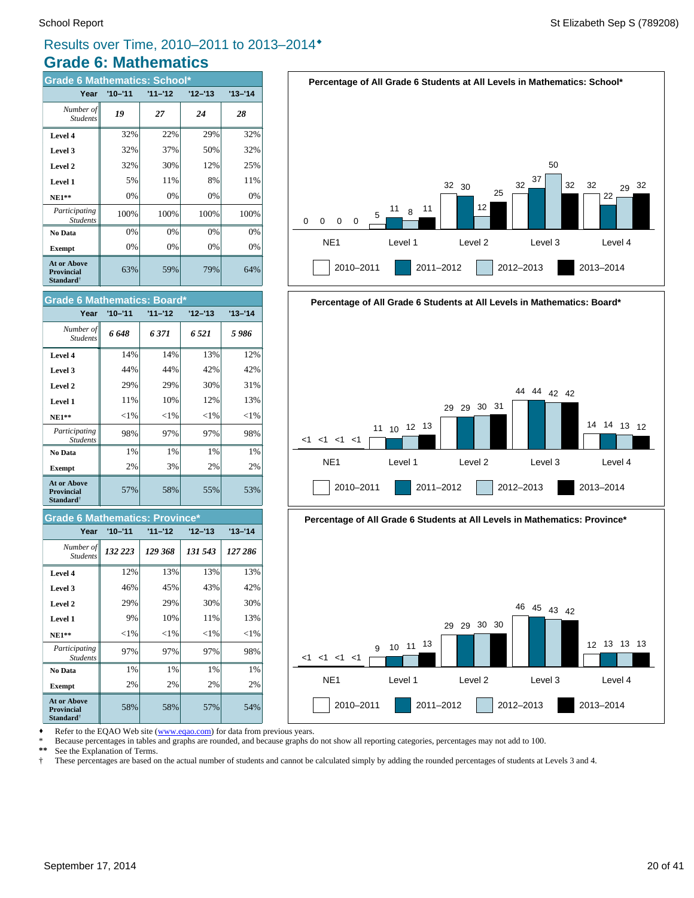# Results over Time, 2010–2011 to 2013–2014®

# **Grade 6: Mathematics**

| <b>Grade 6 Mathematics: School*</b>                              |             |           |           |           |  |  |  |  |
|------------------------------------------------------------------|-------------|-----------|-----------|-----------|--|--|--|--|
| Year                                                             | $'10 - '11$ | $11 - 12$ | $12 - 13$ | $13 - 14$ |  |  |  |  |
| Number of<br><b>Students</b>                                     | 19          | 27        | 24        | 28        |  |  |  |  |
| Level 4                                                          | 32%         | 22%       | 29%       | 32%       |  |  |  |  |
| Level 3                                                          | 32%         | 37%       | 50%       | 32%       |  |  |  |  |
| Level 2                                                          | 32%         | 30%       | 12%       | 25%       |  |  |  |  |
| Level 1                                                          | 5%          | 11%       | 8%        | 11%       |  |  |  |  |
| <b>NE1**</b>                                                     | 0%          | 0%        | 0%        | 0%        |  |  |  |  |
| Participating<br><b>Students</b>                                 | 100%        | 100%      | 100%      | 100%      |  |  |  |  |
| No Data                                                          | 0%          | 0%        | 0%        | 0%        |  |  |  |  |
| <b>Exempt</b>                                                    | 0%          | 0%        | 0%        | 0%        |  |  |  |  |
| <b>At or Above</b><br><b>Provincial</b><br>Standard <sup>†</sup> | 63%         | 59%       | 79%       | 64%       |  |  |  |  |



#### **Grade 6 Mathematics: Province\***

| Year                                                             | $'10 - '11$ | $11 - 12$ | $12 - 13$ | $'13 - '14$ |
|------------------------------------------------------------------|-------------|-----------|-----------|-------------|
| Number of<br><b>Students</b>                                     | 132 223     | 129 368   | 131 543   | 127 286     |
| Level 4                                                          | 12%         | 13%       | 13%       | 13%         |
| Level 3                                                          | 46%         | 45%       | 43%       | 42%         |
| Level 2                                                          | 29%         | 29%       | 30%       | 30%         |
| Level 1                                                          | 9%          | 10%       | 11%       | 13%         |
| $NE1**$                                                          | ${<}1\%$    | ${<}1\%$  | ${<}1\%$  | ${<}1\%$    |
| Participating<br><b>Students</b>                                 | 97%         | 97%       | 97%       | 98%         |
| No Data                                                          | 1%          | 1%        | 1%        | 1%          |
| <b>Exempt</b>                                                    | 2%          | 2%        | 2%        | 2%          |
| <b>At or Above</b><br><b>Provincial</b><br>Standard <sup>†</sup> | 58%         | 58%       | 57%       | 54%         |









Refer to the EQAO Web site (www.eqao.com) for data from previous years.

\* Because percentages in tables and graphs are rounded, and because graphs do not show all reporting categories, percentages may not add to 100.

 **\*\*** See the Explanation of Terms.

 † These percentages are based on the actual number of students and cannot be calculated simply by adding the rounded percentages of students at Levels 3 and 4.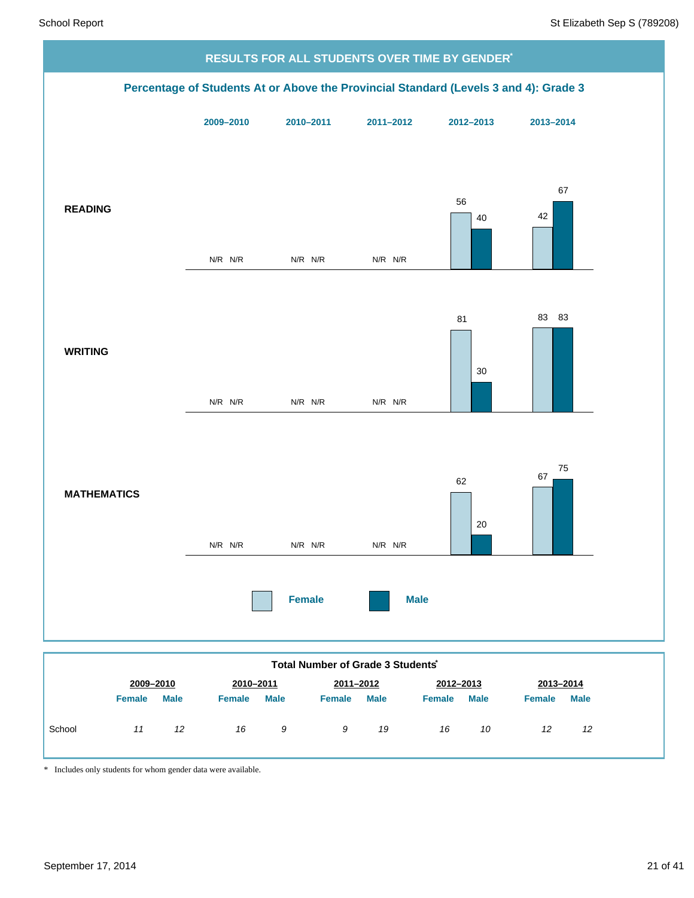

*9 19*

*16 10*

*12 12*

\* Includes only students for whom gender data were available.

*11 12 16 9*

School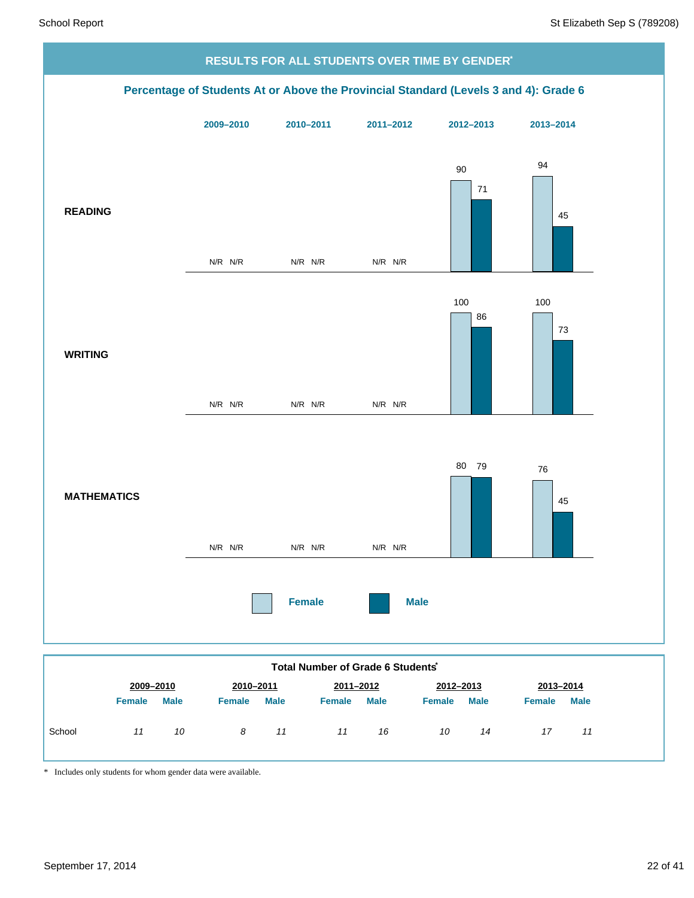

| 2009-2010<br>2012-2013<br>2010-2011<br>2011-2012<br>2013-2014<br><b>Male</b><br><b>Male</b><br><b>Male</b><br><b>Male</b><br><b>Male</b><br><b>Female</b><br><b>Female</b><br><b>Female</b><br><b>Female</b><br><b>Female</b><br>School<br>10<br>16<br>10<br>11<br>8<br>11<br>14<br>17<br>11<br>11 |  |  |  |  |  |  |
|----------------------------------------------------------------------------------------------------------------------------------------------------------------------------------------------------------------------------------------------------------------------------------------------------|--|--|--|--|--|--|
|                                                                                                                                                                                                                                                                                                    |  |  |  |  |  |  |
|                                                                                                                                                                                                                                                                                                    |  |  |  |  |  |  |
|                                                                                                                                                                                                                                                                                                    |  |  |  |  |  |  |

\* Includes only students for whom gender data were available.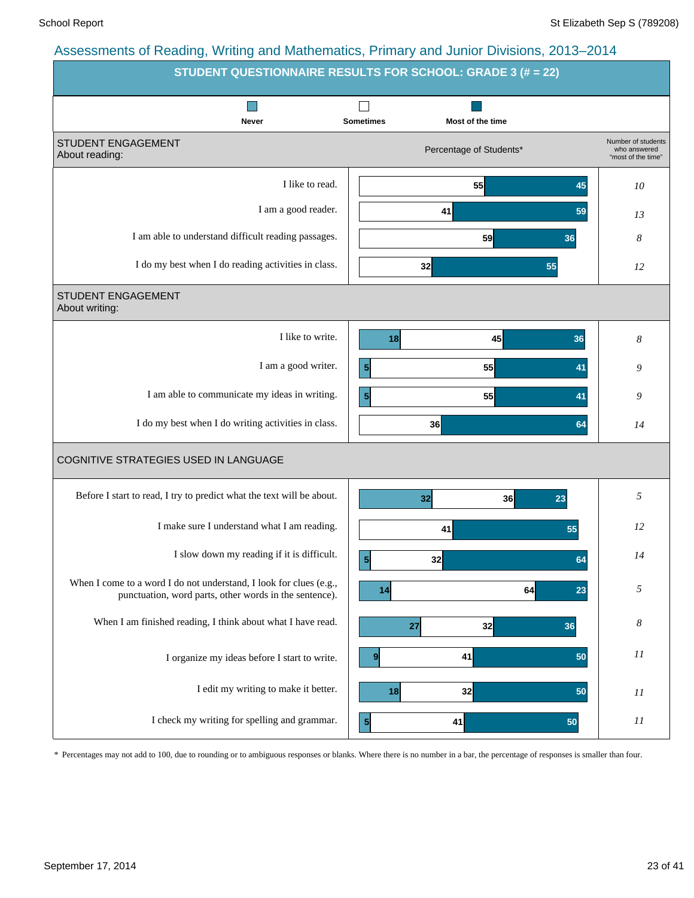|                                                                                                                              | <b>STUDENT QUESTIONNAIRE RESULTS FOR SCHOOL: GRADE 3 (# = 22)</b> |                                                          |
|------------------------------------------------------------------------------------------------------------------------------|-------------------------------------------------------------------|----------------------------------------------------------|
| Never                                                                                                                        | <b>Sometimes</b><br>Most of the time                              |                                                          |
| STUDENT ENGAGEMENT<br>About reading:                                                                                         | Percentage of Students*                                           | Number of students<br>who answered<br>"most of the time" |
| I like to read.                                                                                                              | 55<br>45                                                          | 10                                                       |
| I am a good reader.                                                                                                          | 41<br>59                                                          | 13                                                       |
| I am able to understand difficult reading passages.                                                                          | 59<br>36                                                          | 8                                                        |
| I do my best when I do reading activities in class.                                                                          | 32<br>55                                                          | 12                                                       |
| STUDENT ENGAGEMENT<br>About writing:                                                                                         |                                                                   |                                                          |
| I like to write.                                                                                                             | 45<br>18<br>36                                                    | 8                                                        |
| I am a good writer.                                                                                                          | 55<br>5<br>41                                                     | 9                                                        |
| I am able to communicate my ideas in writing.                                                                                | 5 <sub>l</sub><br>55<br>41                                        | 9                                                        |
| I do my best when I do writing activities in class.                                                                          | 36<br>64                                                          | 14                                                       |
| COGNITIVE STRATEGIES USED IN LANGUAGE                                                                                        |                                                                   |                                                          |
| Before I start to read, I try to predict what the text will be about.                                                        | 32<br>36<br>23                                                    | 5                                                        |
| I make sure I understand what I am reading.                                                                                  | 41<br>55                                                          | 12                                                       |
| I slow down my reading if it is difficult.                                                                                   | 5 <sup>1</sup><br>32<br>64                                        | 14                                                       |
| When I come to a word I do not understand, I look for clues (e.g.,<br>punctuation, word parts, other words in the sentence). | 64<br>23<br>14                                                    | 5                                                        |
| When I am finished reading, I think about what I have read.                                                                  | 32<br>27<br>36                                                    | 8                                                        |
| I organize my ideas before I start to write.                                                                                 | 41<br>50<br>9                                                     | $_{II}$                                                  |
| I edit my writing to make it better.                                                                                         | 18<br>32<br>50                                                    | $_{II}$                                                  |
| I check my writing for spelling and grammar.                                                                                 | 5<br>41<br>50                                                     | 11                                                       |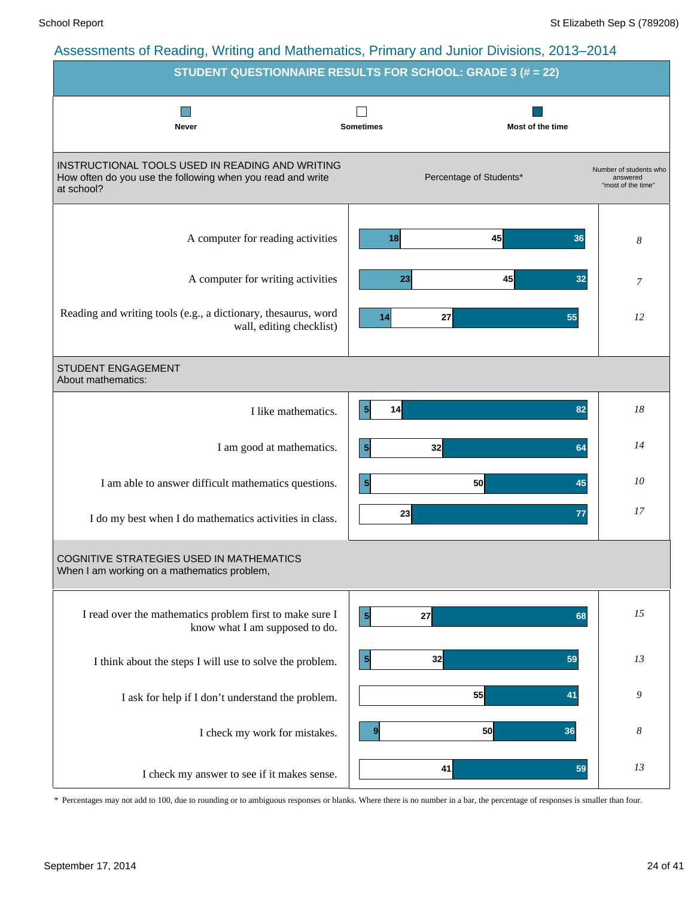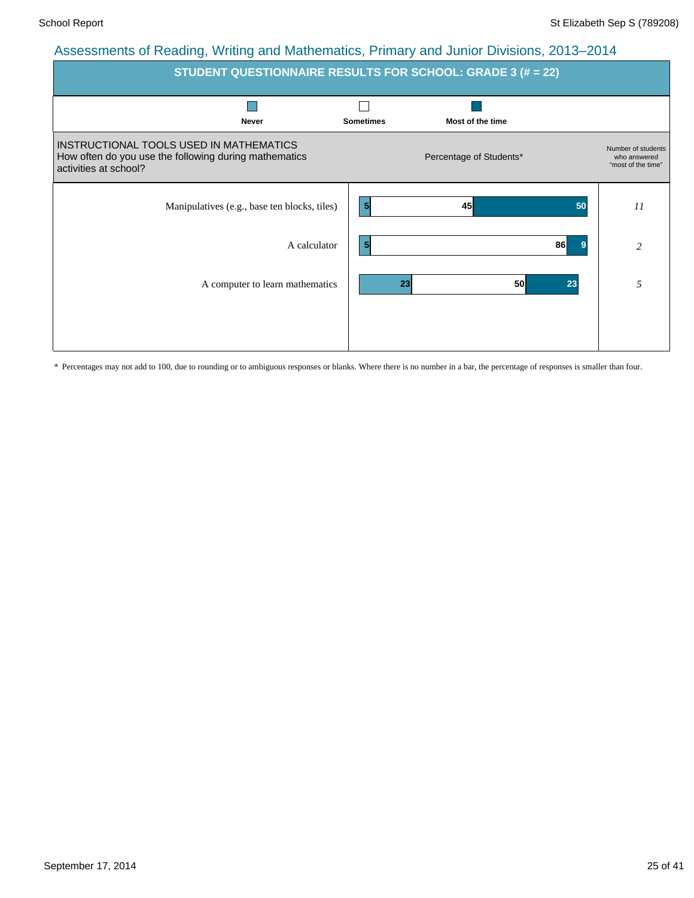| <b>STUDENT QUESTIONNAIRE RESULTS FOR SCHOOL: GRADE 3 (# = 22)</b>                                                         |                  |                         |                                                          |  |  |  |  |  |  |  |
|---------------------------------------------------------------------------------------------------------------------------|------------------|-------------------------|----------------------------------------------------------|--|--|--|--|--|--|--|
| <b>Never</b>                                                                                                              | <b>Sometimes</b> | Most of the time        |                                                          |  |  |  |  |  |  |  |
| INSTRUCTIONAL TOOLS USED IN MATHEMATICS<br>How often do you use the following during mathematics<br>activities at school? |                  | Percentage of Students* | Number of students<br>who answered<br>"most of the time" |  |  |  |  |  |  |  |
| Manipulatives (e.g., base ten blocks, tiles)                                                                              | $\vert 5 \vert$  | 45                      | 11<br>50                                                 |  |  |  |  |  |  |  |
| A calculator                                                                                                              | $\vert 5 \vert$  |                         | 86<br>9<br>$\overline{2}$                                |  |  |  |  |  |  |  |
| A computer to learn mathematics                                                                                           |                  | 23<br>50                | 5<br>23                                                  |  |  |  |  |  |  |  |
|                                                                                                                           |                  |                         |                                                          |  |  |  |  |  |  |  |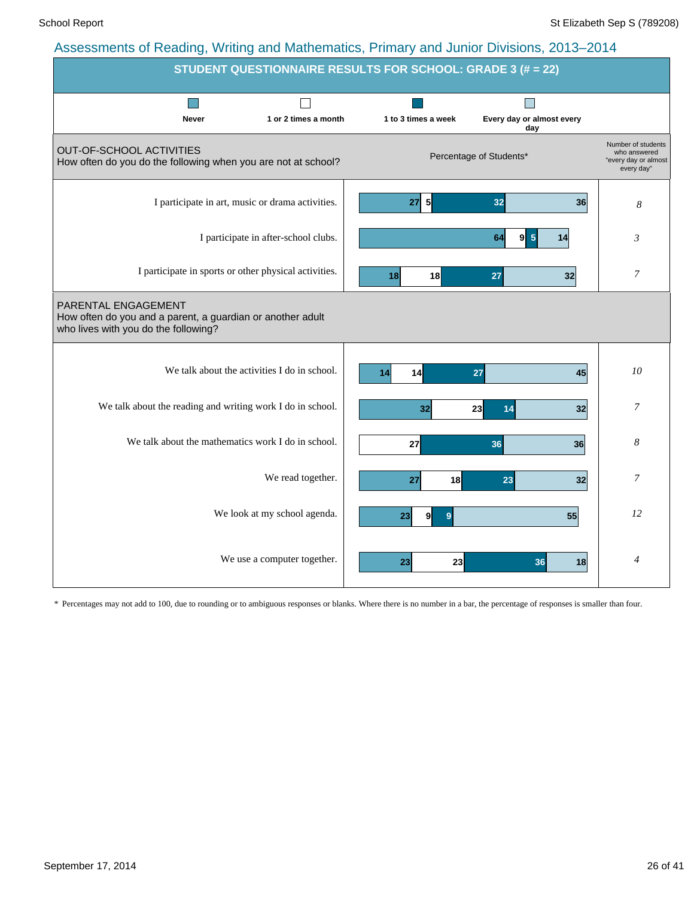|                                                                                                                           |                                      | STUDENT QUESTIONNAIRE RESULTS FOR SCHOOL: GRADE 3 (# = 22) |                                  |                                                                          |
|---------------------------------------------------------------------------------------------------------------------------|--------------------------------------|------------------------------------------------------------|----------------------------------|--------------------------------------------------------------------------|
| <b>Never</b>                                                                                                              | 1 or 2 times a month                 | 1 to 3 times a week                                        | Every day or almost every<br>day |                                                                          |
| <b>OUT-OF-SCHOOL ACTIVITIES</b><br>How often do you do the following when you are not at school?                          |                                      |                                                            | Percentage of Students*          | Number of students<br>who answered<br>"every day or almost<br>every day" |
| I participate in art, music or drama activities.                                                                          |                                      | 27 5                                                       | 32<br>36                         | 8                                                                        |
|                                                                                                                           | I participate in after-school clubs. |                                                            | $9 \vert 5$<br>64<br>14          | 3                                                                        |
| I participate in sports or other physical activities.                                                                     |                                      | 18<br>18                                                   | 27<br>32                         | 7                                                                        |
| PARENTAL ENGAGEMENT<br>How often do you and a parent, a guardian or another adult<br>who lives with you do the following? |                                      |                                                            |                                  |                                                                          |
| We talk about the activities I do in school.                                                                              |                                      | 14<br>14                                                   | 27<br>45                         | 10                                                                       |
| We talk about the reading and writing work I do in school.                                                                |                                      | 32                                                         | 23<br>14<br>32                   | 7                                                                        |
| We talk about the mathematics work I do in school.                                                                        |                                      | 27                                                         | 36<br>36                         | 8                                                                        |
|                                                                                                                           | We read together.                    | 27<br>18                                                   | 23<br>32                         | 7                                                                        |
|                                                                                                                           | We look at my school agenda.         | 23<br>9<br>9                                               | 55                               | 12                                                                       |
|                                                                                                                           | We use a computer together.          | 23<br>23                                                   | 36<br>18                         | $\overline{4}$                                                           |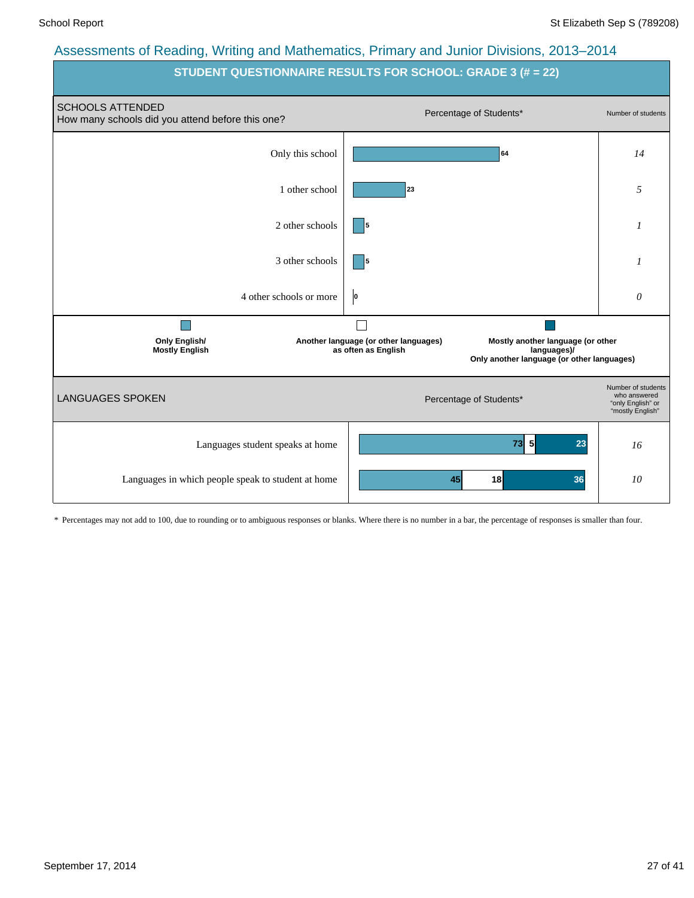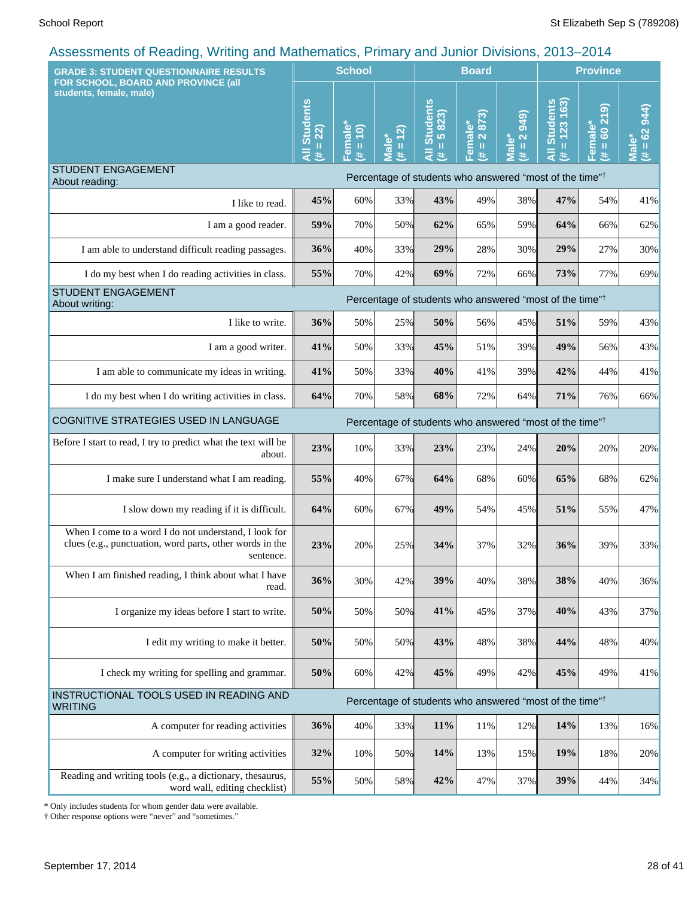| <br><b>GRADE 3: STUDENT QUESTIONNAIRE RESULTS</b>                                                                              |                                                | <b>School</b>                                  |                                         |                                      | <b>Board</b>                 |                                       |                                                                     | <b>Province</b>                     |                               |
|--------------------------------------------------------------------------------------------------------------------------------|------------------------------------------------|------------------------------------------------|-----------------------------------------|--------------------------------------|------------------------------|---------------------------------------|---------------------------------------------------------------------|-------------------------------------|-------------------------------|
| FOR SCHOOL, BOARD AND PROVINCE (all<br>students, female, male)                                                                 | <b>Students</b><br>22)<br>$\mathbf{H}$<br>$\#$ | emale<br>$\overline{10}$<br>$\rm H$<br>共<br>π. | (2)<br><b>Male*</b><br>$\mathbf u$<br>进 | <b>All Students</b><br>$= 5823$<br>巷 | 2873)<br>Female*<br>$\equiv$ | (6b8)<br>$\overline{a}$<br>Male*<br>主 | $= 123 163$<br><b>Students</b><br>共                                 | $\circ$<br>$= 6021$<br>Female*<br>巷 | $= 62944$<br><b>Male</b><br>进 |
| <b>STUDENT ENGAGEMENT</b><br>About reading:                                                                                    |                                                |                                                |                                         |                                      |                              |                                       | Percentage of students who answered "most of the time" <sup>†</sup> |                                     |                               |
| I like to read.                                                                                                                | 45%                                            | 60%                                            | 33%                                     | 43%                                  | 49%                          | 38%                                   | 47%                                                                 | 54%                                 | 41%                           |
| I am a good reader.                                                                                                            | 59%                                            | 70%                                            | 50%                                     | 62%                                  | 65%                          | 59%                                   | 64%                                                                 | 66%                                 | 62%                           |
| I am able to understand difficult reading passages.                                                                            | 36%                                            | 40%                                            | 33%                                     | 29%                                  | 28%                          | 30%                                   | 29%                                                                 | 27%                                 | 30%                           |
| I do my best when I do reading activities in class.                                                                            | 55%                                            | 70%                                            | 42%                                     | 69%                                  | 72%                          | 66%                                   | 73%                                                                 | 77%                                 | 69%                           |
| <b>STUDENT ENGAGEMENT</b><br>About writing:                                                                                    |                                                |                                                |                                         |                                      |                              |                                       | Percentage of students who answered "most of the time" <sup>†</sup> |                                     |                               |
| I like to write.                                                                                                               | 36%                                            | 50%                                            | 25%                                     | 50%                                  | 56%                          | 45%                                   | 51%                                                                 | 59%                                 | 43%                           |
| I am a good writer.                                                                                                            | 41%                                            | 50%                                            | 33%                                     | 45%                                  | 51%                          | 39%                                   | 49%                                                                 | 56%                                 | 43%                           |
| I am able to communicate my ideas in writing.                                                                                  | 41%                                            | 50%                                            | 33%                                     | 40%                                  | 41%                          | 39%                                   | 42%                                                                 | 44%                                 | 41%                           |
| I do my best when I do writing activities in class.                                                                            | 64%                                            | 70%                                            | 58%                                     | 68%                                  | 72%                          | 64%                                   | 71%                                                                 | 76%                                 | 66%                           |
| COGNITIVE STRATEGIES USED IN LANGUAGE                                                                                          |                                                |                                                |                                         |                                      |                              |                                       | Percentage of students who answered "most of the time" <sup>†</sup> |                                     |                               |
| Before I start to read, I try to predict what the text will be<br>about.                                                       | 23%                                            | 10%                                            | 33%                                     | 23%                                  | 23%                          | 24%                                   | 20%                                                                 | 20%                                 | 20%                           |
| I make sure I understand what I am reading.                                                                                    | 55%                                            | 40%                                            | 67%                                     | 64%                                  | 68%                          | 60%                                   | 65%                                                                 | 68%                                 | 62%                           |
| I slow down my reading if it is difficult.                                                                                     | 64%                                            | 60%                                            | 67%                                     | 49%                                  | 54%                          | 45%                                   | 51%                                                                 | 55%                                 | 47%                           |
| When I come to a word I do not understand, I look for<br>clues (e.g., punctuation, word parts, other words in the<br>sentence. | 23%                                            | 20%                                            | 25%                                     | 34%                                  | 37%                          | 32%                                   | 36%                                                                 | 39%                                 | 33%                           |
| When I am finished reading, I think about what I have<br>read.                                                                 | 36%                                            | 30%                                            | 42%                                     | 39%                                  | 40%                          | 38%                                   | 38%                                                                 | 40%                                 | 36%                           |
| I organize my ideas before I start to write.                                                                                   | 50%                                            | 50%                                            | 50%                                     | 41%                                  | 45%                          | 37%                                   | 40%                                                                 | 43%                                 | 37%                           |
| I edit my writing to make it better.                                                                                           | 50%                                            | 50%                                            | 50%                                     | 43%                                  | 48%                          | 38%                                   | 44%                                                                 | 48%                                 | 40%                           |
| I check my writing for spelling and grammar.                                                                                   | 50%                                            | 60%                                            | 42%                                     | 45%                                  | 49%                          | 42%                                   | 45%                                                                 | 49%                                 | 41%                           |
| INSTRUCTIONAL TOOLS USED IN READING AND<br><b>WRITING</b>                                                                      |                                                |                                                |                                         |                                      |                              |                                       | Percentage of students who answered "most of the time" <sup>†</sup> |                                     |                               |
| A computer for reading activities                                                                                              | 36%                                            | 40%                                            | 33%                                     | 11%                                  | 11%                          | 12%                                   | 14%                                                                 | 13%                                 | 16%                           |
| A computer for writing activities                                                                                              | 32%                                            | 10%                                            | 50%                                     | 14%                                  | 13%                          | 15%                                   | 19%                                                                 | 18%                                 | 20%                           |
| Reading and writing tools (e.g., a dictionary, thesaurus,<br>word wall, editing checklist)                                     | 55%                                            | 50%                                            | 58%                                     | 42%                                  | 47%                          | 37%                                   | 39%                                                                 | 44%                                 | 34%                           |

\* Only includes students for whom gender data were available.

† Other response options were "never" and "sometimes."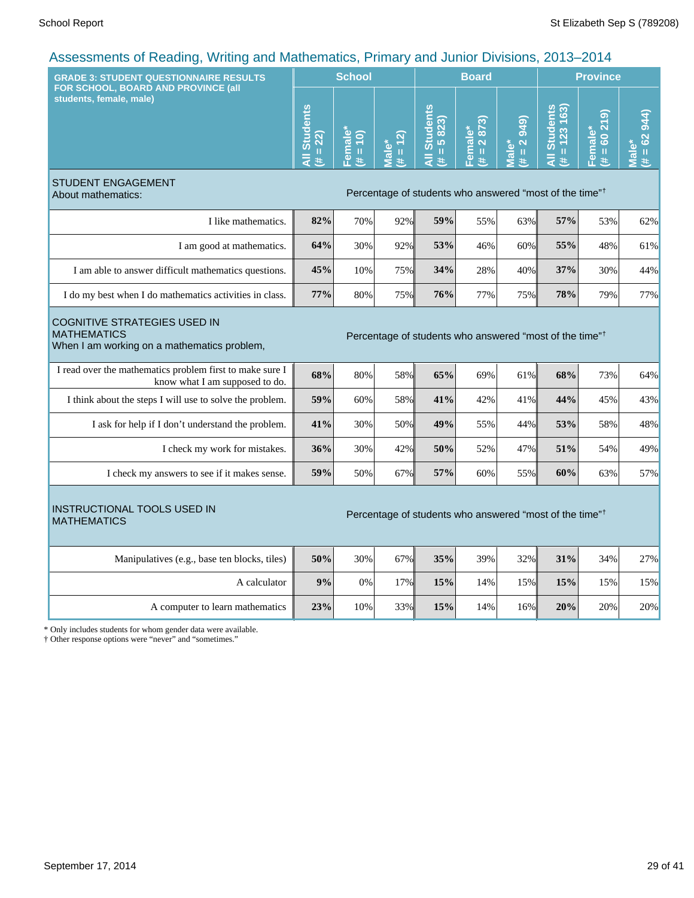| ASSESSINEINS OF INEQUITY, VYNUTY QHU MQUIENIQUOS, F IIITQIY QHU JUMISIO DIVISIONS, ZO I J-ZO 14<br><b>GRADE 3: STUDENT QUESTIONNAIRE RESULTS</b>                                |                                               | <b>School</b>        |                   |                                                                     | <b>Board</b>           |                                                                         |                                                                           | <b>Province</b>                 |                                  |
|---------------------------------------------------------------------------------------------------------------------------------------------------------------------------------|-----------------------------------------------|----------------------|-------------------|---------------------------------------------------------------------|------------------------|-------------------------------------------------------------------------|---------------------------------------------------------------------------|---------------------------------|----------------------------------|
| FOR SCHOOL, BOARD AND PROVINCE (all<br>students, female, male)                                                                                                                  | <b>Students</b><br>$H = 22$<br>$\overline{a}$ | Female<br>$(# = 10)$ | $# = 12$<br>Male* | All Students<br>5823)<br>$\rm{II}$<br>进                             | Female*<br>(# = 2 873) | 949)<br>$\overline{\mathbf{N}}$<br>Male*<br>$\, \, \mathrm{II} \,$<br>共 | <b>Students</b><br>163)<br>123<br>Ш<br>$\bar{\bar{\mathbf{z}}}$<br>$\ast$ | 60219<br>Female*<br>$\,$ H<br>巷 | $# = 62944$<br>Male <sup>®</sup> |
| <b>STUDENT ENGAGEMENT</b><br>About mathematics:                                                                                                                                 |                                               |                      |                   | Percentage of students who answered "most of the time" <sup>†</sup> |                        |                                                                         |                                                                           |                                 |                                  |
| I like mathematics.                                                                                                                                                             | 82%                                           | 70%                  | 92%               | 59%                                                                 | 55%                    | 63%                                                                     | 57%                                                                       | 53%                             | 62%                              |
| I am good at mathematics.                                                                                                                                                       | 64%                                           | 30%                  | 92%               | 53%                                                                 | 46%                    | 60%                                                                     | 55%                                                                       | 48%                             | 61%                              |
| I am able to answer difficult mathematics questions.                                                                                                                            | 45%                                           | 10%                  | 75%               | 34%                                                                 | 28%                    | 40%                                                                     | 37%                                                                       | 30%                             | 44%                              |
| I do my best when I do mathematics activities in class.                                                                                                                         | 77%                                           | 80%                  | 75%               | 76%                                                                 | 77%                    | 75%                                                                     | 78%                                                                       | 79%                             | 77%                              |
| <b>COGNITIVE STRATEGIES USED IN</b><br><b>MATHEMATICS</b><br>Percentage of students who answered "most of the time" <sup>†</sup><br>When I am working on a mathematics problem, |                                               |                      |                   |                                                                     |                        |                                                                         |                                                                           |                                 |                                  |
| I read over the mathematics problem first to make sure I<br>know what I am supposed to do.                                                                                      | 68%                                           | 80%                  | 58%               | 65%                                                                 | 69%                    | 61%                                                                     | 68%                                                                       | 73%                             | 64%                              |
| I think about the steps I will use to solve the problem.                                                                                                                        | 59%                                           | 60%                  | 58%               | 41%                                                                 | 42%                    | 41%                                                                     | 44%                                                                       | 45%                             | 43%                              |
| I ask for help if I don't understand the problem.                                                                                                                               | 41%                                           | 30%                  | 50%               | 49%                                                                 | 55%                    | 44%                                                                     | 53%                                                                       | 58%                             | 48%                              |
| I check my work for mistakes.                                                                                                                                                   | 36%                                           | 30%                  | 42%               | 50%                                                                 | 52%                    | 47%                                                                     | 51%                                                                       | 54%                             | 49%                              |
| I check my answers to see if it makes sense.                                                                                                                                    | 59%                                           | 50%                  | 67%               | 57%                                                                 | 60%                    | 55%                                                                     | 60%                                                                       | 63%                             | 57%                              |
| <b>INSTRUCTIONAL TOOLS USED IN</b><br><b>MATHEMATICS</b>                                                                                                                        |                                               |                      |                   | Percentage of students who answered "most of the time" <sup>†</sup> |                        |                                                                         |                                                                           |                                 |                                  |
| Manipulatives (e.g., base ten blocks, tiles)                                                                                                                                    | 50%                                           | 30%                  | 67%               | 35%                                                                 | 39%                    | 32%                                                                     | 31%                                                                       | 34%                             | 27%                              |
| A calculator                                                                                                                                                                    | 9%                                            | 0%                   | 17%               | 15%                                                                 | 14%                    | 15%                                                                     | 15%                                                                       | 15%                             | 15%                              |
| A computer to learn mathematics                                                                                                                                                 | 23%                                           | 10%                  | 33%               | 15%                                                                 | 14%                    | 16%                                                                     | 20%                                                                       | 20%                             | 20%                              |
| * Only includes students for whom gender data were available.<br>† Other response options were "never" and "sometimes."                                                         |                                               |                      |                   |                                                                     |                        |                                                                         |                                                                           |                                 |                                  |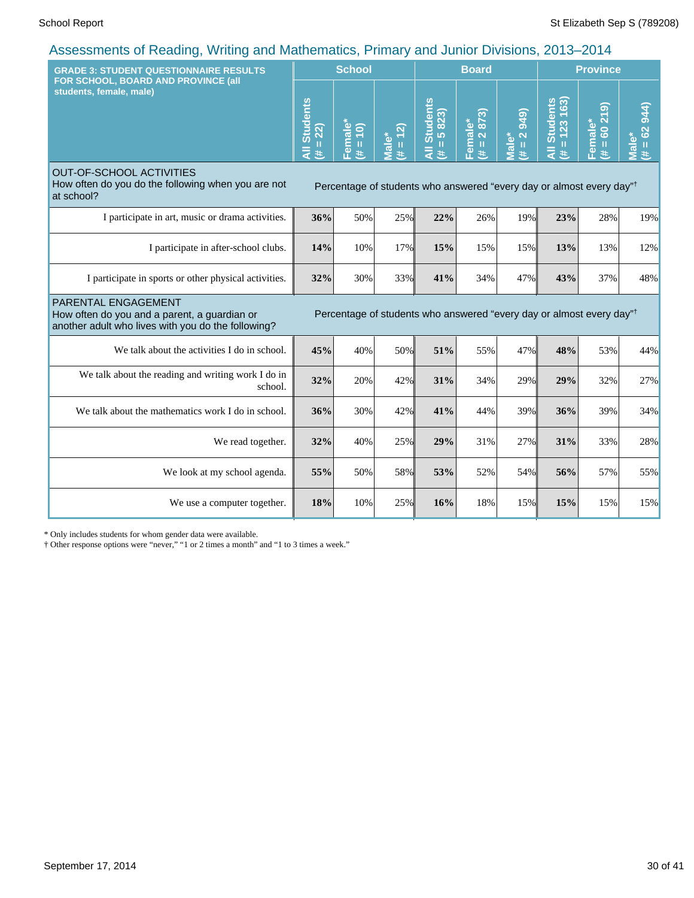| <b>GRADE 3: STUDENT QUESTIONNAIRE RESULTS</b><br>FOR SCHOOL, BOARD AND PROVINCE (all                                      |                                                  | <b>School</b>       |                              |                                                                                  | <b>Board</b>                     |                                              |                                                         | <b>Province</b>                      |                                     |  |
|---------------------------------------------------------------------------------------------------------------------------|--------------------------------------------------|---------------------|------------------------------|----------------------------------------------------------------------------------|----------------------------------|----------------------------------------------|---------------------------------------------------------|--------------------------------------|-------------------------------------|--|
| students, female, male)                                                                                                   | <b>Students</b><br>$= 22$<br>$\overline{a}$<br>共 | Female*<br>(# = 10) | $= 12$<br>Male*<br>$\ddot{}$ | <b>Students</b><br>$= 5823$<br>ह<br>进                                            | Female*<br>$(\text{#} = 2\ 873)$ | 949)<br>$\overline{2}$<br>Male*<br>$\ddot{}$ | $= 123 163$<br><b>Students</b><br>$\ddot{\bar{z}}$<br>进 | (615)<br>Female*<br>8<br>$\,$ H<br>进 | 944)<br>$= 62$<br><b>Male*</b><br>共 |  |
| <b>OUT-OF-SCHOOL ACTIVITIES</b><br>How often do you do the following when you are not<br>at school?                       |                                                  |                     |                              | Percentage of students who answered "every day or almost every day" <sup>†</sup> |                                  |                                              |                                                         |                                      |                                     |  |
| I participate in art, music or drama activities.                                                                          | 36%                                              | 50%                 | 25%                          | 22%                                                                              | 26%                              | 19%                                          | 23%                                                     | 28%                                  | 19%                                 |  |
| I participate in after-school clubs.                                                                                      | 14%                                              | 10%                 | 17%                          | 15%                                                                              | 15%                              | 15%                                          | 13%                                                     | 13%                                  | 12%                                 |  |
| I participate in sports or other physical activities.                                                                     | 32%                                              | 30%                 | 33%                          | 41%                                                                              | 34%                              | 47%                                          | 43%                                                     | 37%                                  | 48%                                 |  |
| PARENTAL ENGAGEMENT<br>How often do you and a parent, a guardian or<br>another adult who lives with you do the following? |                                                  |                     |                              | Percentage of students who answered "every day or almost every day" <sup>†</sup> |                                  |                                              |                                                         |                                      |                                     |  |
| We talk about the activities I do in school.                                                                              | 45%                                              | 40%                 | 50%                          | 51%                                                                              | 55%                              | 47%                                          | 48%                                                     | 53%                                  | 44%                                 |  |
| We talk about the reading and writing work I do in<br>school.                                                             | 32%                                              | 20%                 | 42%                          | 31%                                                                              | 34%                              | 29%                                          | 29%                                                     | 32%                                  | 27%                                 |  |
| We talk about the mathematics work I do in school.                                                                        | 36%                                              | 30%                 | 42%                          | 41%                                                                              | 44%                              | 39%                                          | 36%                                                     | 39%                                  | 34%                                 |  |
| We read together.                                                                                                         | 32%                                              | 40%                 | 25%                          | 29%                                                                              | 31%                              | 27%                                          | 31%                                                     | 33%                                  | 28%                                 |  |
| We look at my school agenda.                                                                                              | 55%                                              | 50%                 | 58%                          | 53%                                                                              | 52%                              | 54%                                          | 56%                                                     | 57%                                  | 55%                                 |  |
| We use a computer together.                                                                                               | 18%                                              | 10%                 | 25%                          | 16%                                                                              | 18%                              | 15%                                          | 15%                                                     | 15%                                  | 15%                                 |  |

\* Only includes students for whom gender data were available.

† Other response options were "never," "1 or 2 times a month" and "1 to 3 times a week."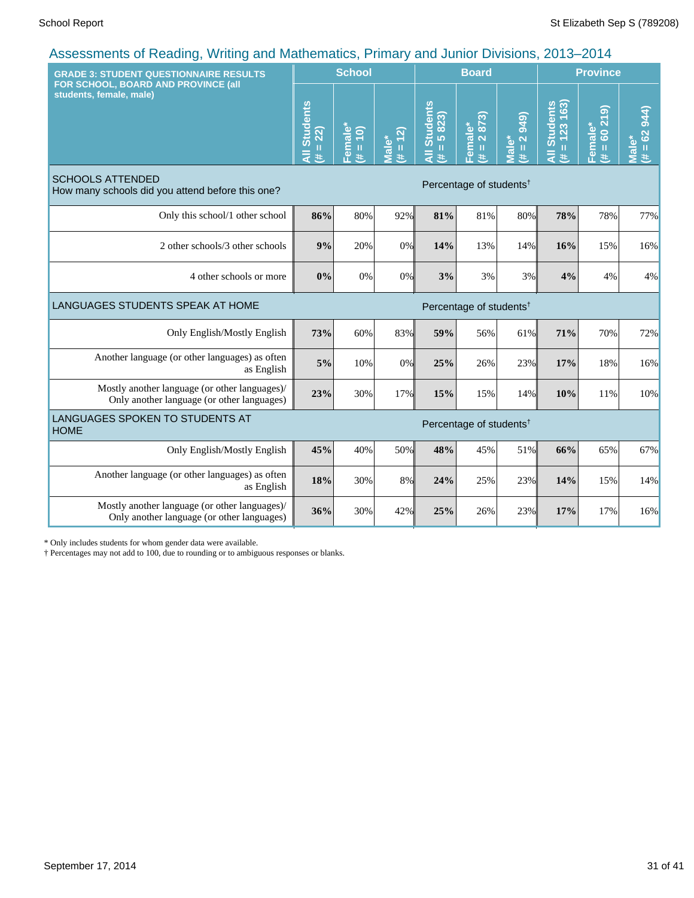| <b>GRADE 3: STUDENT QUESTIONNAIRE RESULTS</b>                                               |                             | <b>School</b>                      |                               |                               | <b>Board</b>                          |                                |                                  | <b>Province</b>                                        |                                          |  |
|---------------------------------------------------------------------------------------------|-----------------------------|------------------------------------|-------------------------------|-------------------------------|---------------------------------------|--------------------------------|----------------------------------|--------------------------------------------------------|------------------------------------------|--|
| FOR SCHOOL, BOARD AND PROVINCE (all<br>students, female, male)                              | All Students<br>$= 22$<br># | Female <sup>®</sup><br>$= 10$<br>共 | $# = 12$<br>Male <sup>*</sup> | All Students<br>$= 5823$<br>巷 | 2873)<br>Female*<br>$\mathbf{H}$<br>巷 | <b>949</b><br>$# = 2$<br>Male* | All Students<br>$= 123 163$<br>进 | ெ<br>$\overline{\mathbf{z}}$<br>Female*<br>$= 60$<br>巷 | <b>944</b><br>$(# = 62)$<br><b>Male*</b> |  |
| <b>SCHOOLS ATTENDED</b><br>How many schools did you attend before this one?                 |                             |                                    |                               |                               | Percentage of students <sup>†</sup>   |                                |                                  |                                                        |                                          |  |
| Only this school/1 other school                                                             | 86%                         | 80%                                | 92%                           | 81%                           | 81%                                   | 80%                            | 78%                              | 78%                                                    | 77%                                      |  |
| 2 other schools/3 other schools                                                             | 9%                          | 20%                                | 0%                            | 14%                           | 13%                                   | 14%                            | 16%                              | 15%                                                    | 16%                                      |  |
| 4 other schools or more                                                                     | 0%                          | 0%                                 | 0%                            | 3%                            | 3%                                    | 3%                             | 4%                               | 4%                                                     | 4%                                       |  |
| LANGUAGES STUDENTS SPEAK AT HOME                                                            |                             |                                    |                               |                               | Percentage of students <sup>†</sup>   |                                |                                  |                                                        |                                          |  |
| Only English/Mostly English                                                                 | 73%                         | 60%                                | 83%                           | 59%                           | 56%                                   | 61%                            | 71%                              | 70%                                                    | 72%                                      |  |
| Another language (or other languages) as often<br>as English                                | 5%                          | 10%                                | 0%                            | 25%                           | 26%                                   | 23%                            | 17%                              | 18%                                                    | 16%                                      |  |
| Mostly another language (or other languages)/<br>Only another language (or other languages) | 23%                         | 30%                                | 17%                           | 15%                           | 15%                                   | 14%                            | 10%                              | 11%                                                    | 10%                                      |  |
| LANGUAGES SPOKEN TO STUDENTS AT<br><b>HOME</b>                                              |                             |                                    |                               |                               | Percentage of students <sup>†</sup>   |                                |                                  |                                                        |                                          |  |
| Only English/Mostly English                                                                 | 45%                         | 40%                                | 50%                           | 48%                           | 45%                                   | 51%                            | 66%                              | 65%                                                    | 67%                                      |  |
| Another language (or other languages) as often<br>as English                                | 18%                         | 30%                                | 8%                            | 24%                           | 25%                                   | 23%                            | 14%                              | 15%                                                    | 14%                                      |  |
| Mostly another language (or other languages)/<br>Only another language (or other languages) | 36%                         | 30%                                | 42%                           | 25%                           | 26%                                   | 23%                            | 17%                              | 17%                                                    | 16%                                      |  |

\* Only includes students for whom gender data were available.

† Percentages may not add to 100, due to rounding or to ambiguous responses or blanks.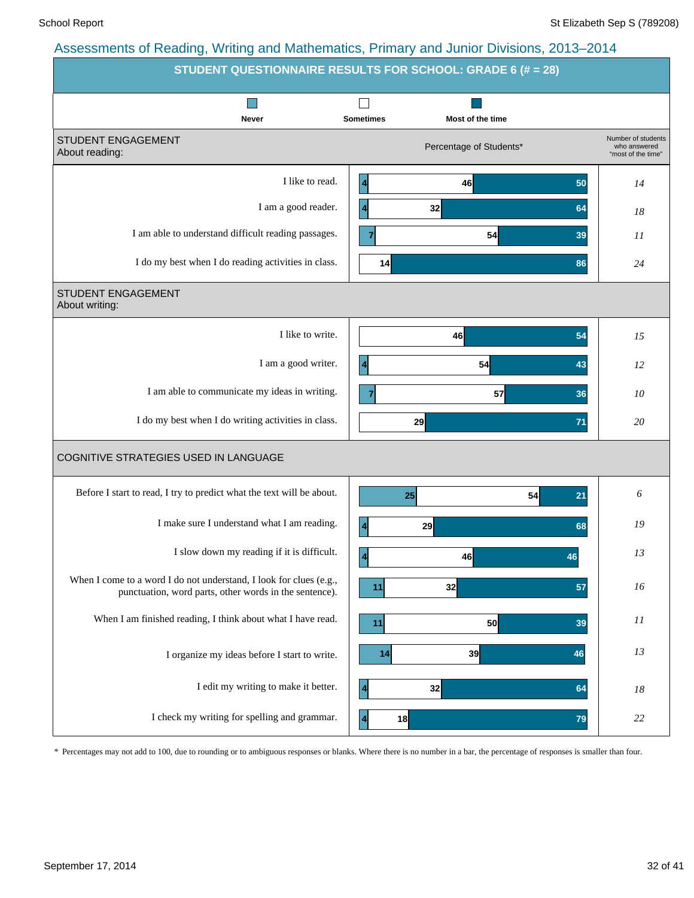|                                                                                                                              | <b>STUDENT QUESTIONNAIRE RESULTS FOR SCHOOL: GRADE 6 (# = 28)</b> |                                                          |
|------------------------------------------------------------------------------------------------------------------------------|-------------------------------------------------------------------|----------------------------------------------------------|
| Never                                                                                                                        | <b>Sometimes</b><br>Most of the time                              |                                                          |
| STUDENT ENGAGEMENT<br>About reading:                                                                                         | Percentage of Students*                                           | Number of students<br>who answered<br>"most of the time" |
| I like to read.                                                                                                              | 46<br>50                                                          | 14                                                       |
| I am a good reader.                                                                                                          | 32<br>4<br>64                                                     | 18                                                       |
| I am able to understand difficult reading passages.                                                                          | $\overline{7}$<br>54<br>39                                        | 11                                                       |
| I do my best when I do reading activities in class.                                                                          | 14<br>86                                                          | 24                                                       |
| STUDENT ENGAGEMENT<br>About writing:                                                                                         |                                                                   |                                                          |
| I like to write.                                                                                                             | 54<br>46                                                          | 15                                                       |
| I am a good writer.                                                                                                          | 54<br>43                                                          | 12                                                       |
| I am able to communicate my ideas in writing.                                                                                | 57<br>$\overline{7}$<br>36                                        | 10                                                       |
| I do my best when I do writing activities in class.                                                                          | 29<br>71                                                          | 20                                                       |
| COGNITIVE STRATEGIES USED IN LANGUAGE                                                                                        |                                                                   |                                                          |
| Before I start to read, I try to predict what the text will be about.                                                        | 54<br>25<br>21                                                    | 6                                                        |
| I make sure I understand what I am reading.                                                                                  | 29<br>68<br>4                                                     | 19                                                       |
| I slow down my reading if it is difficult.                                                                                   | $\vert$<br>46<br>46                                               | 13                                                       |
| When I come to a word I do not understand, I look for clues (e.g.,<br>punctuation, word parts, other words in the sentence). | 32<br>57<br>11                                                    | 16                                                       |
| When I am finished reading, I think about what I have read.                                                                  | 50<br>11<br>39                                                    | $_{II}$                                                  |
| I organize my ideas before I start to write.                                                                                 | 14<br>39<br>46                                                    | 13                                                       |
| I edit my writing to make it better.                                                                                         | 32<br>$\boldsymbol{4}$<br>64                                      | 18                                                       |
| I check my writing for spelling and grammar.                                                                                 | 18<br>79                                                          | 22                                                       |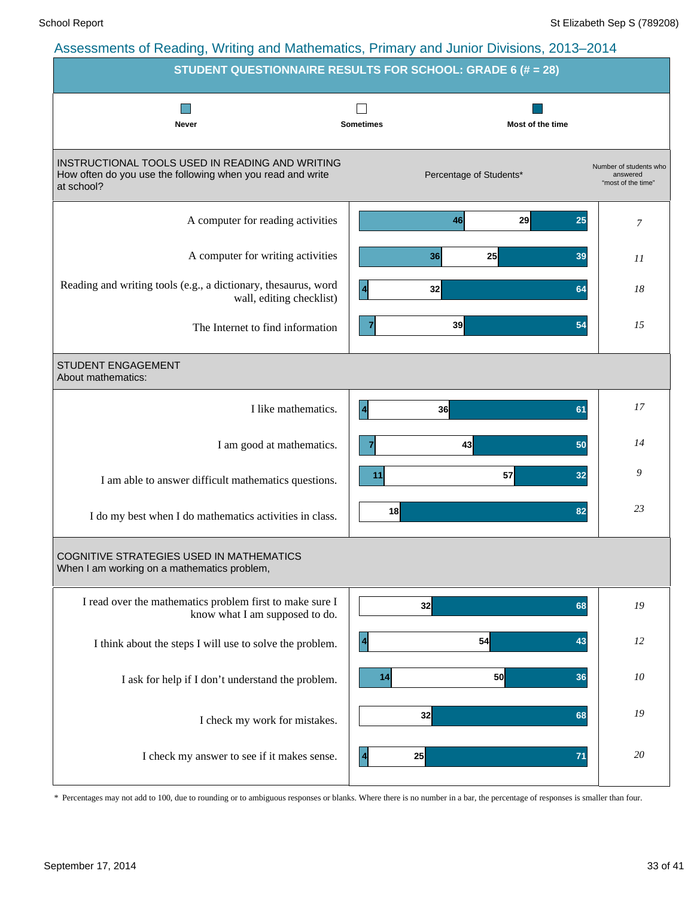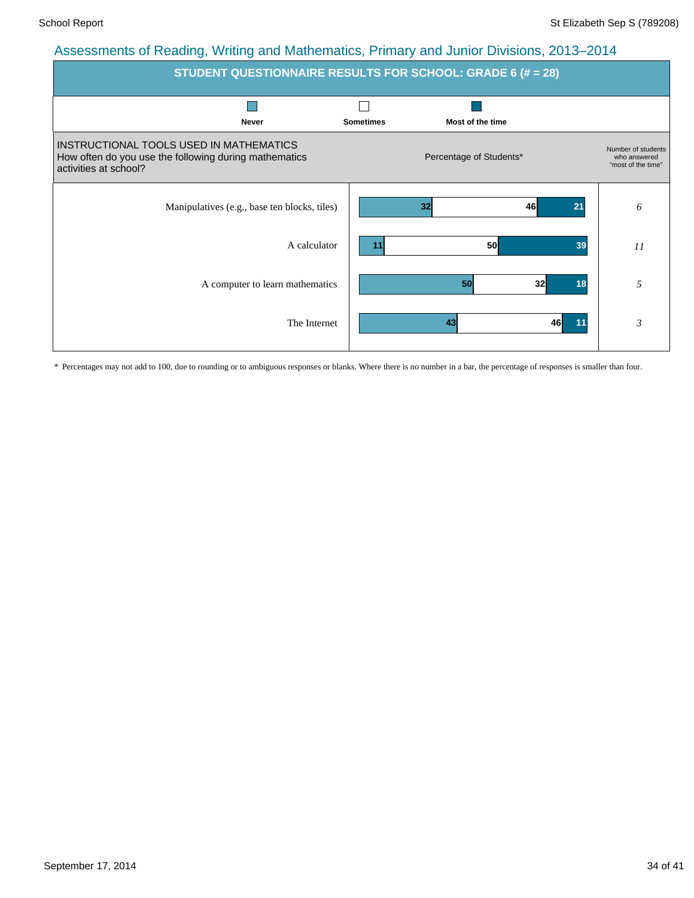| <b>STUDENT QUESTIONNAIRE RESULTS FOR SCHOOL: GRADE 6 (# = 28)</b>                                                         |                  |                             |                                                          |  |  |  |  |  |  |  |
|---------------------------------------------------------------------------------------------------------------------------|------------------|-----------------------------|----------------------------------------------------------|--|--|--|--|--|--|--|
| <b>Never</b>                                                                                                              | <b>Sometimes</b> | Most of the time            |                                                          |  |  |  |  |  |  |  |
| INSTRUCTIONAL TOOLS USED IN MATHEMATICS<br>How often do you use the following during mathematics<br>activities at school? |                  | Percentage of Students*     | Number of students<br>who answered<br>"most of the time" |  |  |  |  |  |  |  |
| Manipulatives (e.g., base ten blocks, tiles)                                                                              |                  | 46<br>32<br>21              | 6                                                        |  |  |  |  |  |  |  |
| A calculator                                                                                                              | 11               | <b>50</b><br>39             | 11                                                       |  |  |  |  |  |  |  |
| A computer to learn mathematics                                                                                           |                  | 32 <sub>l</sub><br>50<br>18 | 5                                                        |  |  |  |  |  |  |  |
| The Internet                                                                                                              |                  | 43<br>46<br>11              | $\mathfrak{Z}$                                           |  |  |  |  |  |  |  |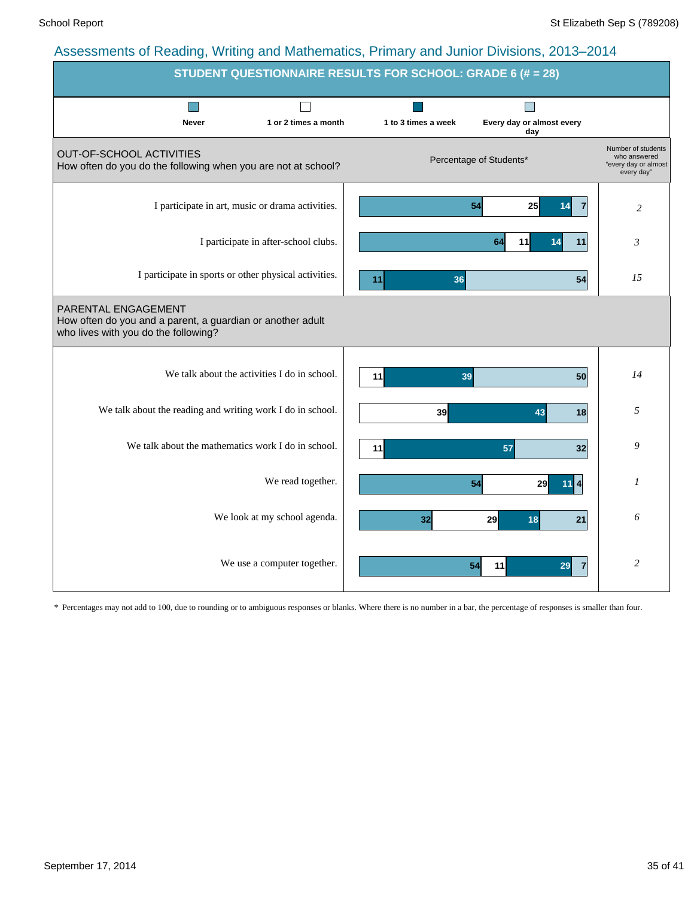| <b>STUDENT QUESTIONNAIRE RESULTS FOR SCHOOL: GRADE 6 (# = 28)</b>                                                         |                      |                     |                                  |                                                                          |
|---------------------------------------------------------------------------------------------------------------------------|----------------------|---------------------|----------------------------------|--------------------------------------------------------------------------|
| <b>Never</b>                                                                                                              | 1 or 2 times a month | 1 to 3 times a week | Every day or almost every<br>day |                                                                          |
| OUT-OF-SCHOOL ACTIVITIES<br>How often do you do the following when you are not at school?                                 |                      |                     | Percentage of Students*          | Number of students<br>who answered<br>"every day or almost<br>every day" |
| I participate in art, music or drama activities.                                                                          |                      |                     | 54<br>25<br>$\overline{7}$<br>14 | $\overline{2}$                                                           |
| I participate in after-school clubs.                                                                                      |                      |                     | 64<br>11<br>11<br>14             | $\mathfrak{Z}$                                                           |
| I participate in sports or other physical activities.                                                                     |                      | 11<br>36            | 54                               | 15                                                                       |
| PARENTAL ENGAGEMENT<br>How often do you and a parent, a guardian or another adult<br>who lives with you do the following? |                      |                     |                                  |                                                                          |
| We talk about the activities I do in school.                                                                              |                      | 11<br>39            | 50                               | 14                                                                       |
| We talk about the reading and writing work I do in school.                                                                |                      | 39                  | 43<br>18                         | 5                                                                        |
| We talk about the mathematics work I do in school.                                                                        |                      | 11                  | 57<br>32                         | 9                                                                        |
|                                                                                                                           | We read together.    |                     | 54<br>29                         | 1                                                                        |
| We look at my school agenda.                                                                                              |                      | 32                  | 29<br>18<br>21                   | 6                                                                        |
| We use a computer together.                                                                                               |                      |                     | 11<br>54<br>29<br>$\overline{7}$ | $\overline{2}$                                                           |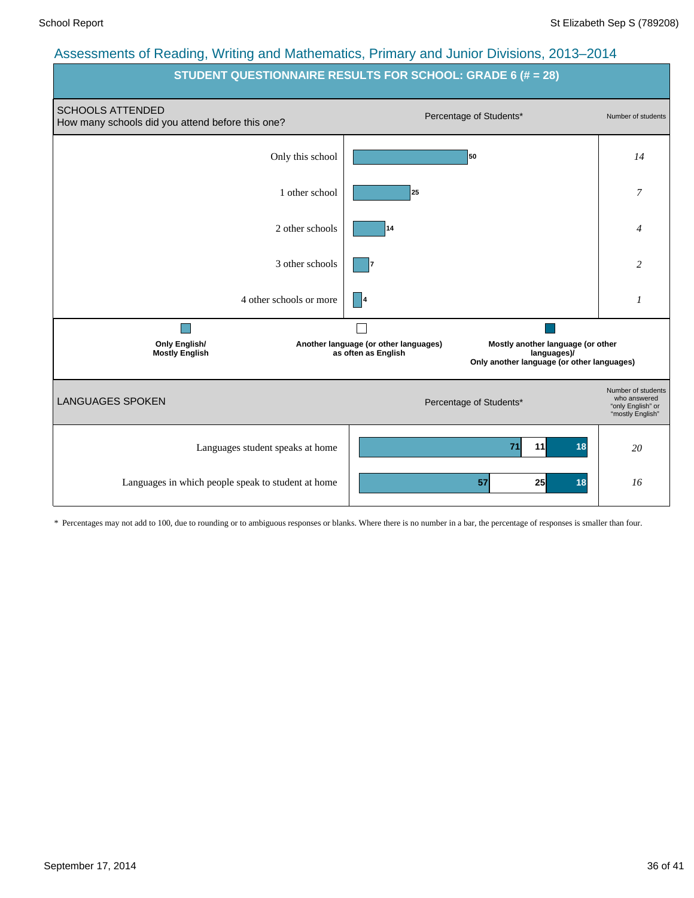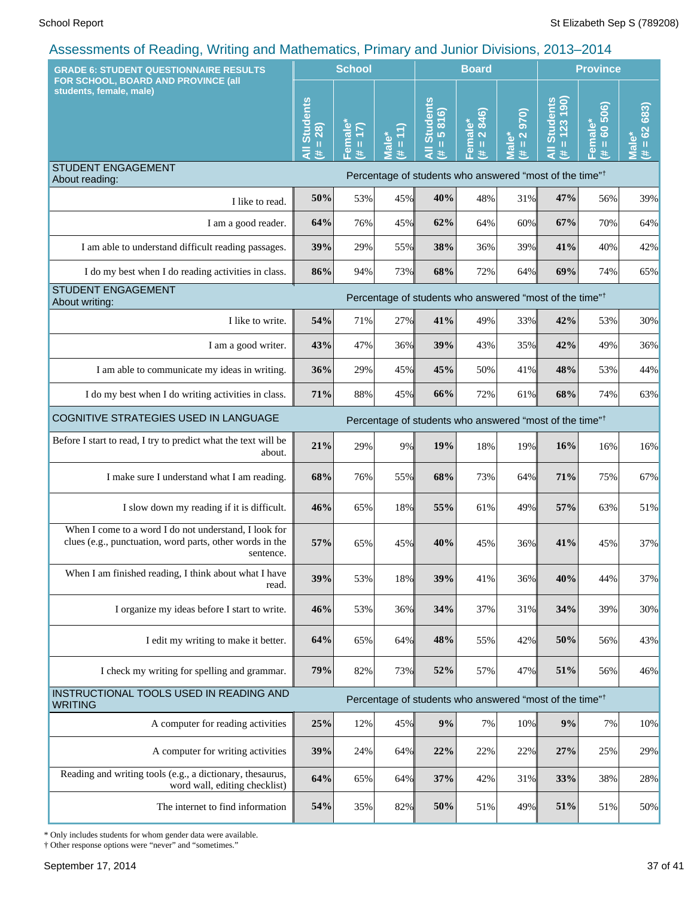| <b>GRADE 6: STUDENT QUESTIONNAIRE RESULTS</b>                                                                                  |                                                     | <b>School</b>                                                           |                                                                                                                                                                                                                                                                              |                                                                  | <b>Board</b>                     |                                        |                                                                     | <b>Province</b>              |                            |  |
|--------------------------------------------------------------------------------------------------------------------------------|-----------------------------------------------------|-------------------------------------------------------------------------|------------------------------------------------------------------------------------------------------------------------------------------------------------------------------------------------------------------------------------------------------------------------------|------------------------------------------------------------------|----------------------------------|----------------------------------------|---------------------------------------------------------------------|------------------------------|----------------------------|--|
| FOR SCHOOL, BOARD AND PROVINCE (all<br>students, female, male)                                                                 | <b>Students</b><br>$= 28$<br>$\bar{a}$<br>$\ddot{}$ | male <sup>*</sup><br>$\overline{1}$<br>$\,$ H<br>$\mathbf{\Omega}$<br>共 | Ϋ<br>$\mathbf{H}% =\mathbf{H}^{T}\mathbf{v}^{T}\mathbf{v}^{T}\mathbf{v}^{T}+\mathbf{H}^{T}\mathbf{v}^{T}\mathbf{v}^{T}+\mathbf{H}^{T}\mathbf{v}^{T}\mathbf{v}^{T}+\mathbf{H}^{T}\mathbf{v}^{T}\mathbf{v}^{T}+\mathbf{H}^{T}\mathbf{v}^{T}\mathbf{v}^{T}$<br><b>REIV</b><br># | <b>Students</b><br>816)<br>$\frac{1}{10}$<br>$\overline{a}$<br>进 | 2 846)<br>Female*<br>$\,$ H<br>违 | 970)<br>$\frac{2}{\pi}$<br>Male*<br>y. | Il Students<br>= 123 190)<br>$\overline{a}$<br>进                    | 506)<br>Female*<br>(# = 60 5 | 683)<br>$(# = 62)$<br>Male |  |
| <b>STUDENT ENGAGEMENT</b><br>About reading:                                                                                    |                                                     |                                                                         |                                                                                                                                                                                                                                                                              |                                                                  |                                  |                                        | Percentage of students who answered "most of the time" <sup>†</sup> |                              |                            |  |
| I like to read.                                                                                                                | 50%                                                 | 53%                                                                     | 45%                                                                                                                                                                                                                                                                          | 40%                                                              | 48%                              | 31%                                    | 47%                                                                 | 56%                          | 39%                        |  |
| I am a good reader.                                                                                                            | 64%                                                 | 76%                                                                     | 45%                                                                                                                                                                                                                                                                          | 62%                                                              | 64%                              | 60%                                    | 67%                                                                 | 70%                          | 64%                        |  |
| I am able to understand difficult reading passages.                                                                            | 39%                                                 | 29%                                                                     | 55%                                                                                                                                                                                                                                                                          | 38%                                                              | 36%                              | 39%                                    | 41%                                                                 | 40%                          | 42%                        |  |
| I do my best when I do reading activities in class.                                                                            | 86%                                                 | 94%                                                                     | 73%                                                                                                                                                                                                                                                                          | 68%                                                              | 72%                              | 64%                                    | 69%                                                                 | 74%                          | 65%                        |  |
| <b>STUDENT ENGAGEMENT</b><br>About writing:                                                                                    |                                                     |                                                                         |                                                                                                                                                                                                                                                                              |                                                                  |                                  |                                        | Percentage of students who answered "most of the time" <sup>†</sup> |                              |                            |  |
| I like to write.                                                                                                               | 54%                                                 | 71%                                                                     | 27%                                                                                                                                                                                                                                                                          | 41%                                                              | 49%                              | 33%                                    | 42%                                                                 | 53%                          | 30%                        |  |
| I am a good writer.                                                                                                            | 43%                                                 | 47%                                                                     | 36%                                                                                                                                                                                                                                                                          | 39%                                                              | 43%                              | 35%                                    | 42%                                                                 | 49%                          | 36%                        |  |
| I am able to communicate my ideas in writing.                                                                                  | 36%                                                 | 29%                                                                     | 45%                                                                                                                                                                                                                                                                          | 45%                                                              | 50%                              | 41%                                    | 48%                                                                 | 53%                          | 44%                        |  |
| I do my best when I do writing activities in class.                                                                            | 71%                                                 | 88%                                                                     | 45%                                                                                                                                                                                                                                                                          | 66%                                                              | 72%                              | 61%                                    | 68%                                                                 | 74%                          | 63%                        |  |
| COGNITIVE STRATEGIES USED IN LANGUAGE                                                                                          |                                                     |                                                                         |                                                                                                                                                                                                                                                                              |                                                                  |                                  |                                        | Percentage of students who answered "most of the time" <sup>†</sup> |                              |                            |  |
| Before I start to read, I try to predict what the text will be<br>about.                                                       | 21%                                                 | 29%                                                                     | 9%                                                                                                                                                                                                                                                                           | 19%                                                              | 18%                              | 19%                                    | 16%                                                                 | 16%                          | 16%                        |  |
| I make sure I understand what I am reading.                                                                                    | 68%                                                 | 76%                                                                     | 55%                                                                                                                                                                                                                                                                          | 68%                                                              | 73%                              | 64%                                    | 71%                                                                 | 75%                          | 67%                        |  |
| I slow down my reading if it is difficult.                                                                                     | 46%                                                 | 65%                                                                     | 18%                                                                                                                                                                                                                                                                          | 55%                                                              | 61%                              | 49%                                    | 57%                                                                 | 63%                          | 51%                        |  |
| When I come to a word I do not understand, I look for<br>clues (e.g., punctuation, word parts, other words in the<br>sentence. | 57%                                                 | 65%                                                                     | 45%                                                                                                                                                                                                                                                                          | 40%                                                              | 45%                              | 36%                                    | 41%                                                                 | 45%                          | 37%                        |  |
| When I am finished reading, I think about what I have<br>read.                                                                 | 39%                                                 | 53%                                                                     | 18%                                                                                                                                                                                                                                                                          | 39%                                                              | 41%                              | 36%                                    | 40%                                                                 | 44%                          | 37%                        |  |
| I organize my ideas before I start to write.                                                                                   | 46%                                                 | 53%                                                                     | 36%                                                                                                                                                                                                                                                                          | 34%                                                              | 37%                              | 31%                                    | 34%                                                                 | 39%                          | 30%                        |  |
| I edit my writing to make it better.                                                                                           | 64%                                                 | 65%                                                                     | 64%                                                                                                                                                                                                                                                                          | 48%                                                              | 55%                              | 42%                                    | 50%                                                                 | 56%                          | 43%                        |  |
| I check my writing for spelling and grammar.                                                                                   | 79%                                                 | 82%                                                                     | 73%                                                                                                                                                                                                                                                                          | 52%                                                              | 57%                              | 47%                                    | 51%                                                                 | 56%                          | 46%                        |  |
| <b>INSTRUCTIONAL TOOLS USED IN READING AND</b><br><b>WRITING</b>                                                               |                                                     |                                                                         |                                                                                                                                                                                                                                                                              |                                                                  |                                  |                                        | Percentage of students who answered "most of the time" <sup>†</sup> |                              |                            |  |
| A computer for reading activities                                                                                              | 25%                                                 | 12%                                                                     | 45%                                                                                                                                                                                                                                                                          | $9\%$                                                            | 7%                               | 10%                                    | 9%                                                                  | 7%                           | 10%                        |  |
| A computer for writing activities                                                                                              | 39%                                                 | 24%                                                                     | 64%                                                                                                                                                                                                                                                                          | 22%                                                              | 22%                              | 22%                                    | 27%                                                                 | 25%                          | 29%                        |  |
| Reading and writing tools (e.g., a dictionary, thesaurus,<br>word wall, editing checklist)                                     | 64%                                                 | 65%                                                                     | 64%                                                                                                                                                                                                                                                                          | 37%                                                              | 42%                              | 31%                                    | 33%                                                                 | 38%                          | 28%                        |  |
| The internet to find information                                                                                               | 54%                                                 | 35%                                                                     | 82%                                                                                                                                                                                                                                                                          | 50%                                                              | 51%                              | 49%                                    | 51%                                                                 | 51%                          | 50%                        |  |

\* Only includes students for whom gender data were available.

† Other response options were "never" and "sometimes."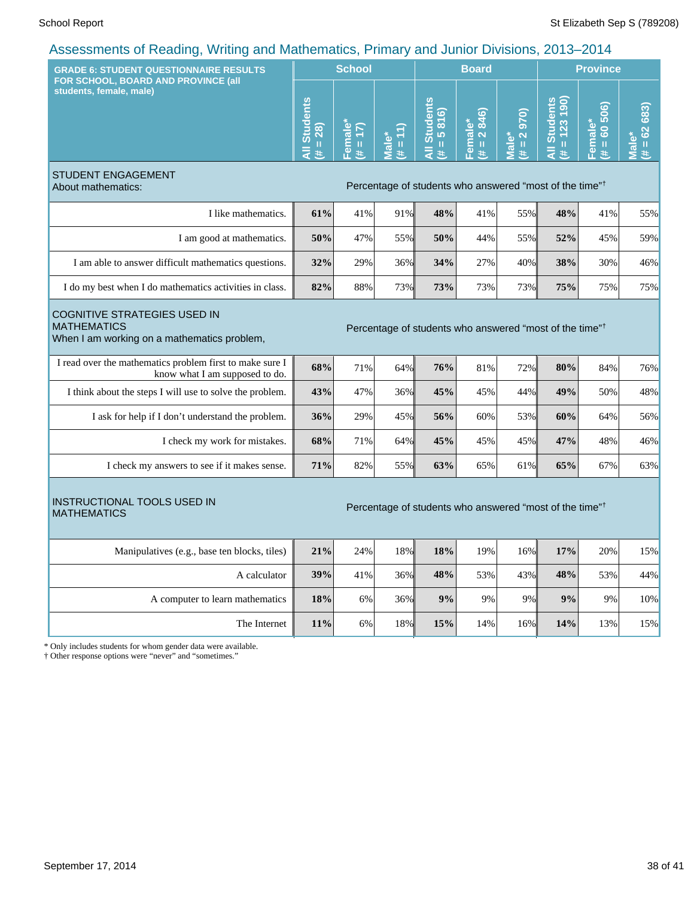| <b>GRADE 6: STUDENT QUESTIONNAIRE RESULTS</b>                                                                                                                                   |                                    | <b>School</b>                                          |                       |                                                                     | <b>Board</b>                 |                                               | <b>Province</b>                                    |                                 |                                           |
|---------------------------------------------------------------------------------------------------------------------------------------------------------------------------------|------------------------------------|--------------------------------------------------------|-----------------------|---------------------------------------------------------------------|------------------------------|-----------------------------------------------|----------------------------------------------------|---------------------------------|-------------------------------------------|
| FOR SCHOOL, BOARD AND PROVINCE (all<br>students, female, male)                                                                                                                  | <b>All Students</b><br>$= 28$<br>巷 | Female<br>$\overline{\mathbf{E}}$<br>$\mathbf{u}$<br>主 | E<br>11<br>Male*<br>Ä | <b>All Students</b><br>816)<br>$\overline{5}$<br>$\mathbf{H}$<br>进  | 846)<br>Female*<br>(# = 2 84 | <b>970</b><br>Male*<br>$\overline{a}$<br>$\#$ | <b>All Students</b><br>123 190<br>$\mathbf H$<br>共 | 60 506)<br>Female*<br>(# = 60 5 | $= 62683$<br>$\overline{\mathbf{a}}$<br>进 |
| <b>STUDENT ENGAGEMENT</b><br>About mathematics:                                                                                                                                 |                                    |                                                        |                       | Percentage of students who answered "most of the time" <sup>†</sup> |                              |                                               |                                                    |                                 |                                           |
| I like mathematics.                                                                                                                                                             | 61%                                | 41%                                                    | 91%                   | 48%                                                                 | 41%                          | 55%                                           | 48%                                                | 41%                             | 55%                                       |
| I am good at mathematics.                                                                                                                                                       | 50%                                | 47%                                                    | 55%                   | 50%                                                                 | 44%                          | 55%                                           | 52%                                                | 45%                             | 59%                                       |
| I am able to answer difficult mathematics questions.                                                                                                                            | 32%                                | 29%                                                    | 36%                   | 34%                                                                 | 27%                          | 40%                                           | 38%                                                | 30%                             | 46%                                       |
| I do my best when I do mathematics activities in class.                                                                                                                         | 82%                                | 88%                                                    | 73%                   | 73%                                                                 | 73%                          | 73%                                           | 75%                                                | 75%                             | 75%                                       |
| <b>COGNITIVE STRATEGIES USED IN</b><br><b>MATHEMATICS</b><br>Percentage of students who answered "most of the time" <sup>†</sup><br>When I am working on a mathematics problem, |                                    |                                                        |                       |                                                                     |                              |                                               |                                                    |                                 |                                           |
| I read over the mathematics problem first to make sure I<br>know what I am supposed to do.                                                                                      | 68%                                | 71%                                                    | 64%                   | 76%                                                                 | 81%                          | 72%                                           | 80%                                                | 84%                             | 76%                                       |
| I think about the steps I will use to solve the problem.                                                                                                                        | 43%                                | 47%                                                    | 36%                   | 45%                                                                 | 45%                          | 44%                                           | 49%                                                | 50%                             | 48%                                       |
| I ask for help if I don't understand the problem.                                                                                                                               | 36%                                | 29%                                                    | 45%                   | 56%                                                                 | 60%                          | 53%                                           | 60%                                                | 64%                             | 56%                                       |
| I check my work for mistakes.                                                                                                                                                   | 68%                                | 71%                                                    | 64%                   | 45%                                                                 | 45%                          | 45%                                           | 47%                                                | 48%                             | 46%                                       |
| I check my answers to see if it makes sense.                                                                                                                                    | 71%                                | 82%                                                    | 55%                   | 63%                                                                 | 65%                          | 61%                                           | 65%                                                | 67%                             | 63%                                       |
| <b>INSTRUCTIONAL TOOLS USED IN</b><br><b>MATHEMATICS</b>                                                                                                                        |                                    |                                                        |                       | Percentage of students who answered "most of the time" <sup>†</sup> |                              |                                               |                                                    |                                 |                                           |
| Manipulatives (e.g., base ten blocks, tiles)                                                                                                                                    | 21%                                | 24%                                                    | 18%                   | 18%                                                                 | 19%                          | 16%                                           | 17%                                                | 20%                             | 15%                                       |
| A calculator                                                                                                                                                                    | 39%                                | 41%                                                    | 36%                   | 48%                                                                 | 53%                          | 43%                                           | 48%                                                | 53%                             | 44%                                       |
| A computer to learn mathematics                                                                                                                                                 | 18%                                | 6%                                                     | 36%                   | 9%                                                                  | 9%                           | 9%                                            | 9%                                                 | 9%                              | 10%                                       |
| The Internet                                                                                                                                                                    | 11%                                | 6%                                                     | 18%                   | 15%                                                                 | 14%                          | 16%                                           | 14%                                                | 13%                             | 15%                                       |
| * Only includes students for whom gender data were available.<br>* Other response options were "pever" and "sometimes"                                                          |                                    |                                                        |                       |                                                                     |                              |                                               |                                                    |                                 |                                           |

† Other response options were "never" and "sometimes."

September 17, 2014 38 of 41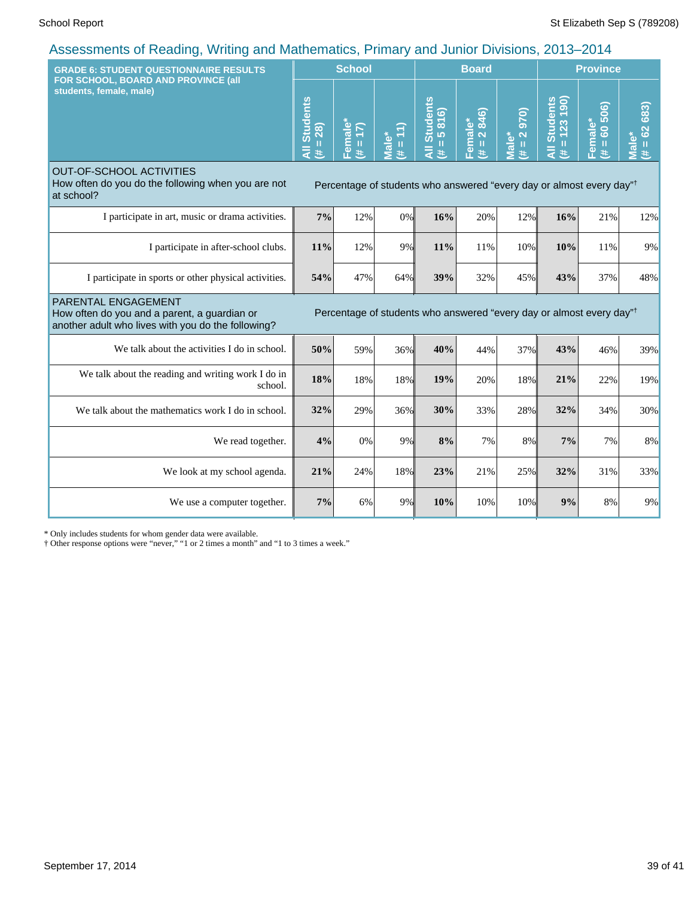| <b>GRADE 6: STUDENT QUESTIONNAIRE RESULTS</b>                                                                             |                                     | <b>School</b>          |                                          |                                                                                  | <b>Board</b>           |                                                  | <b>Province</b>                      |                                   |                              |
|---------------------------------------------------------------------------------------------------------------------------|-------------------------------------|------------------------|------------------------------------------|----------------------------------------------------------------------------------|------------------------|--------------------------------------------------|--------------------------------------|-----------------------------------|------------------------------|
| FOR SCHOOL, BOARD AND PROVINCE (all<br>students, female, male)                                                            | <b>Students</b><br>$= 28$<br>₹<br>共 | Female*<br>$(\# = 17)$ | $\overline{H} = 11$<br>Male <sup>*</sup> | <b>Students</b><br>$= 5816$<br>$\bar{a}$<br>违                                    | Female*<br>(# = 2 846) | (016<br>$= 2$<br>$\overline{\text{Male}}^*$<br>共 | Il Students<br>$= 123 190$<br>Ę<br>违 | 60 506)<br>Female*<br>$\,$ H<br>违 | 683)<br>$= 62$<br>Male*<br>主 |
| <b>OUT-OF-SCHOOL ACTIVITIES</b><br>How often do you do the following when you are not<br>at school?                       |                                     |                        |                                          | Percentage of students who answered "every day or almost every day" <sup>†</sup> |                        |                                                  |                                      |                                   |                              |
| I participate in art, music or drama activities.                                                                          | 7%                                  | 12%                    | 0%                                       | 16%                                                                              | 20%                    | 12%                                              | 16%                                  | 21%                               | 12%                          |
| I participate in after-school clubs.                                                                                      | 11%                                 | 12%                    | 9%                                       | 11%                                                                              | 11%                    | 10%                                              | 10%                                  | 11%                               | 9%                           |
| I participate in sports or other physical activities.                                                                     | 54%                                 | 47%                    | 64%                                      | 39%                                                                              | 32%                    | 45%                                              | 43%                                  | 37%                               | 48%                          |
| PARENTAL ENGAGEMENT<br>How often do you and a parent, a guardian or<br>another adult who lives with you do the following? |                                     |                        |                                          | Percentage of students who answered "every day or almost every day" <sup>†</sup> |                        |                                                  |                                      |                                   |                              |
| We talk about the activities I do in school.                                                                              | 50%                                 | 59%                    | 36%                                      | 40%                                                                              | 44%                    | 37%                                              | 43%                                  | 46%                               | 39%                          |
| We talk about the reading and writing work I do in<br>school.                                                             | 18%                                 | 18%                    | 18%                                      | 19%                                                                              | 20%                    | 18%                                              | 21%                                  | 22%                               | 19%                          |
| We talk about the mathematics work I do in school.                                                                        | 32%                                 | 29%                    | 36%                                      | 30%                                                                              | 33%                    | 28%                                              | 32%                                  | 34%                               | 30%                          |
| We read together.                                                                                                         | 4%                                  | 0%                     | 9%                                       | 8%                                                                               | 7%                     | 8%                                               | 7%                                   | 7%                                | 8%                           |
| We look at my school agenda.                                                                                              | 21%                                 | 24%                    | 18%                                      | 23%                                                                              | 21%                    | 25%                                              | 32%                                  | 31%                               | 33%                          |
| We use a computer together.                                                                                               | 7%                                  | 6%                     | 9%                                       | 10%                                                                              | 10%                    | 10%                                              | 9%                                   | 8%                                | 9%                           |

\* Only includes students for whom gender data were available.

† Other response options were "never," "1 or 2 times a month" and "1 to 3 times a week."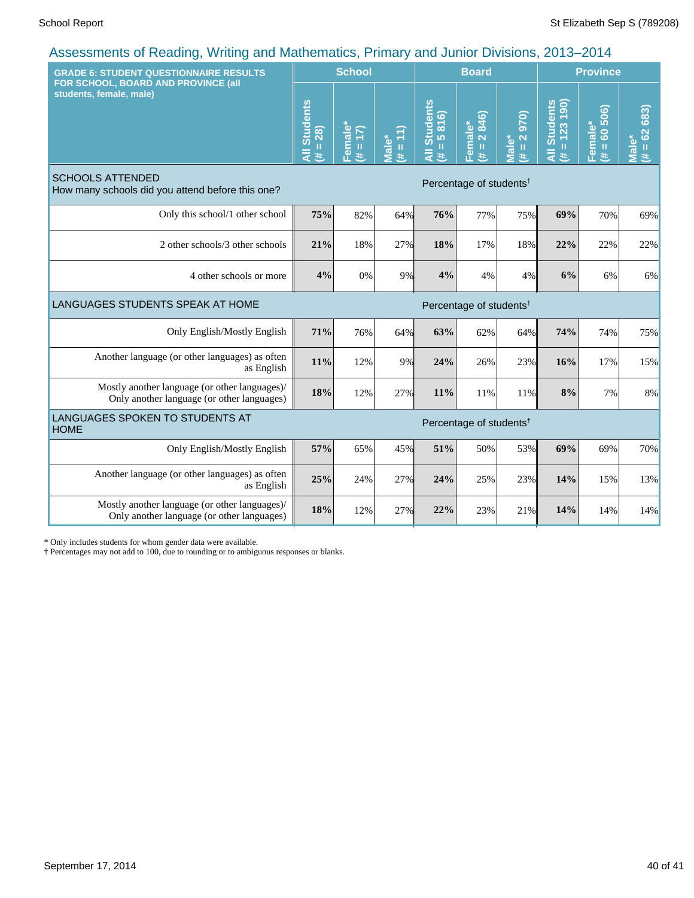| <b>GRADE 6: STUDENT QUESTIONNAIRE RESULTS</b>                                               | <b>School</b>                       |                     |                                 | <b>Board</b>                   |                        |                          | <b>Province</b>                         |                            |                      |
|---------------------------------------------------------------------------------------------|-------------------------------------|---------------------|---------------------------------|--------------------------------|------------------------|--------------------------|-----------------------------------------|----------------------------|----------------------|
| FOR SCHOOL, BOARD AND PROVINCE (all<br>students, female, male)                              |                                     | Female*<br>(# = 17) | $(11) = #$<br>Male <sup>*</sup> | All Students<br>$(\# = 5 816)$ | Female*<br>(# = 2 846) | 970)<br>$# = 2$<br>Male* | $= 123190$<br><b>Students</b><br>Ę<br>违 | $= 60,506$<br>Female*<br>主 | $# = 62683$<br>Male* |
| <b>SCHOOLS ATTENDED</b><br>How many schools did you attend before this one?                 | Percentage of students <sup>†</sup> |                     |                                 |                                |                        |                          |                                         |                            |                      |
| Only this school/1 other school                                                             | 75%                                 | 82%                 | 64%                             | 76%                            | 77%                    | 75%                      | 69%                                     | 70%                        | 69%                  |
| 2 other schools/3 other schools                                                             | 21%                                 | 18%                 | 27%                             | 18%                            | 17%                    | 18%                      | 22%                                     | 22%                        | 22%                  |
| 4 other schools or more                                                                     | 4%                                  | 0%                  | 9%                              | 4%                             | 4%                     | 4%                       | 6%                                      | 6%                         | $6\%$                |
| LANGUAGES STUDENTS SPEAK AT HOME<br>Percentage of students <sup>†</sup>                     |                                     |                     |                                 |                                |                        |                          |                                         |                            |                      |
| Only English/Mostly English                                                                 | 71%                                 | 76%                 | 64%                             | 63%                            | 62%                    | 64%                      | 74%                                     | 74%                        | 75%                  |
| Another language (or other languages) as often<br>as English                                | 11%                                 | 12%                 | 9%                              | 24%                            | 26%                    | 23%                      | 16%                                     | 17%                        | 15%                  |
| Mostly another language (or other languages)/<br>Only another language (or other languages) | 18%                                 | 12%                 | 27%                             | 11%                            | 11%                    | 11%                      | 8%                                      | 7%                         | 8%                   |
| LANGUAGES SPOKEN TO STUDENTS AT<br>Percentage of students <sup>†</sup><br><b>HOME</b>       |                                     |                     |                                 |                                |                        |                          |                                         |                            |                      |
| Only English/Mostly English                                                                 | 57%                                 | 65%                 | 45%                             | 51%                            | 50%                    | 53%                      | 69%                                     | 69%                        | 70%                  |
| Another language (or other languages) as often<br>as English                                | 25%                                 | 24%                 | 27%                             | 24%                            | 25%                    | 23%                      | 14%                                     | 15%                        | 13%                  |
| Mostly another language (or other languages)/<br>Only another language (or other languages) | 18%                                 | 12%                 | 27%                             | 22%                            | 23%                    | 21%                      | 14%                                     | 14%                        | 14%                  |

\* Only includes students for whom gender data were available.

† Percentages may not add to 100, due to rounding or to ambiguous responses or blanks.